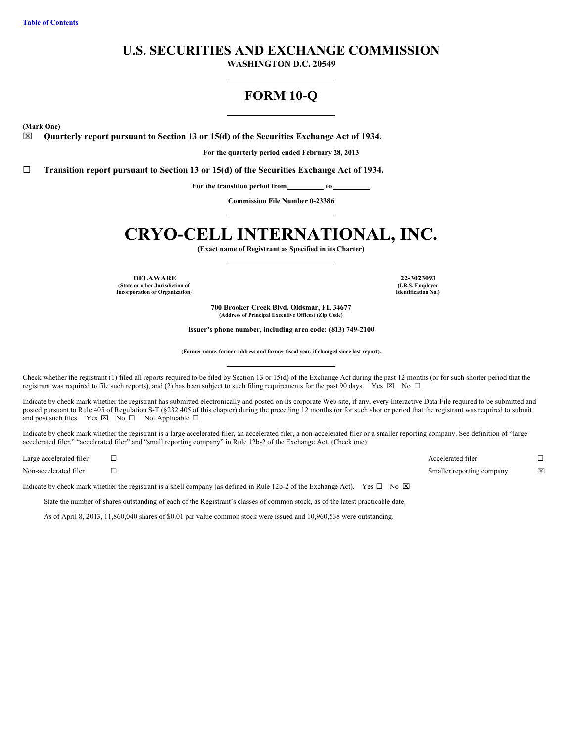# **U.S. SECURITIES AND EXCHANGE COMMISSION**

**WASHINGTON D.C. 20549**

# **FORM 10-Q**

<span id="page-0-0"></span>**(Mark One)**

x **Quarterly report pursuant to Section 13 or 15(d) of the Securities Exchange Act of 1934.**

**For the quarterly period ended February 28, 2013**

¨ **Transition report pursuant to Section 13 or 15(d) of the Securities Exchange Act of 1934.**

**For the transition period from to**

**Commission File Number 0-23386**

# **CRYO-CELL INTERNATIONAL, INC.**

**(Exact name of Registrant as Specified in its Charter)**

**DELAWARE 22-3023093 (State or other Jurisdiction of Incorporation or Organization)**

**(I.R.S. Employer Identification No.)**

**700 Brooker Creek Blvd. Oldsmar, FL 34677 (Address of Principal Executive Offices) (Zip Code)**

**Issuer's phone number, including area code: (813) 749-2100**

**(Former name, former address and former fiscal year, if changed since last report).**

Check whether the registrant (1) filed all reports required to be filed by Section 13 or 15(d) of the Exchange Act during the past 12 months (or for such shorter period that the registrant was required to file such reports), and (2) has been subject to such filing requirements for the past 90 days. Yes  $\boxtimes$  No  $\Box$ 

Indicate by check mark whether the registrant has submitted electronically and posted on its corporate Web site, if any, every Interactive Data File required to be submitted and posted pursuant to Rule 405 of Regulation S-T (§232.405 of this chapter) during the preceding 12 months (or for such shorter period that the registrant was required to submit and post such files. Yes  $\boxtimes$  No  $\Box$  Not Applicable  $\Box$ 

Indicate by check mark whether the registrant is a large accelerated filer, an accelerated filer, a non-accelerated filer or a smaller reporting company. See definition of "large accelerated filer," "accelerated filer" and "small reporting company" in Rule 12b-2 of the Exchange Act. (Check one):

Large accelerated filer  $\Box$ 

Non-accelerated filer ¨ Smaller reporting company x

Indicate by check mark whether the registrant is a shell company (as defined in Rule 12b-2 of the Exchange Act). Yes  $\Box$  No  $\boxtimes$ 

State the number of shares outstanding of each of the Registrant's classes of common stock, as of the latest practicable date.

As of April 8, 2013, 11,860,040 shares of \$0.01 par value common stock were issued and 10,960,538 were outstanding.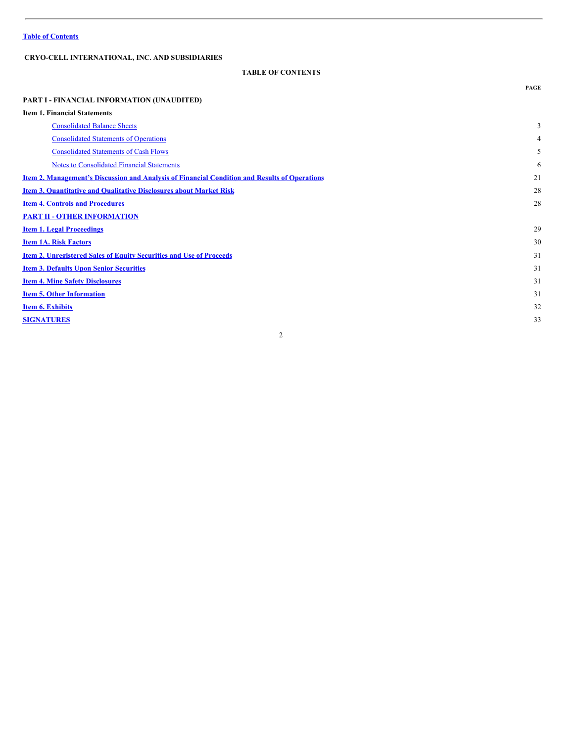### **TABLE OF CONTENTS**

<span id="page-1-0"></span>

|                                                                                                      | PAGE |
|------------------------------------------------------------------------------------------------------|------|
| <b>PART I - FINANCIAL INFORMATION (UNAUDITED)</b>                                                    |      |
| <b>Item 1. Financial Statements</b>                                                                  |      |
| <b>Consolidated Balance Sheets</b>                                                                   | 3    |
| <b>Consolidated Statements of Operations</b>                                                         | 4    |
| <b>Consolidated Statements of Cash Flows</b>                                                         | 5    |
| <b>Notes to Consolidated Financial Statements</b>                                                    | 6    |
| <u>Item 2. Management's Discussion and Analysis of Financial Condition and Results of Operations</u> | 21   |
| <b>Item 3. Quantitative and Qualitative Disclosures about Market Risk</b>                            | 28   |
| <b>Item 4. Controls and Procedures</b>                                                               | 28   |
| <b>PART II - OTHER INFORMATION</b>                                                                   |      |
| <b>Item 1. Legal Proceedings</b>                                                                     | 29   |
| <b>Item 1A. Risk Factors</b>                                                                         | 30   |
| <b>Item 2. Unregistered Sales of Equity Securities and Use of Proceeds</b>                           | 31   |
| <b>Item 3. Defaults Upon Senior Securities</b>                                                       | 31   |
| <b>Item 4. Mine Safety Disclosures</b>                                                               | 31   |
| <b>Item 5. Other Information</b>                                                                     | 31   |
| <b>Item 6. Exhibits</b>                                                                              | 32   |
| <b>SIGNATURES</b>                                                                                    | 33   |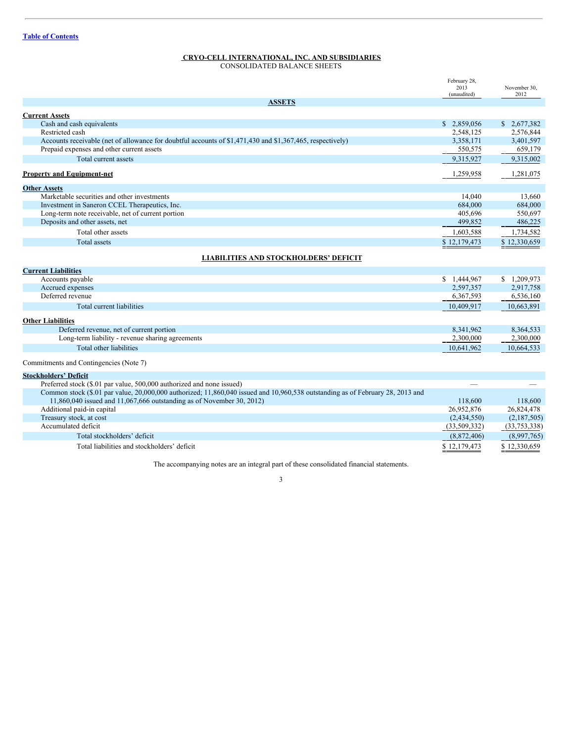<span id="page-2-0"></span>CONSOLIDATED BALANCE SHEETS

|                                                                                                                                | February 28,<br>2013<br>(unaudited) | November 30.<br>2012 |
|--------------------------------------------------------------------------------------------------------------------------------|-------------------------------------|----------------------|
| <b>ASSETS</b>                                                                                                                  |                                     |                      |
| <b>Current Assets</b>                                                                                                          |                                     |                      |
| Cash and cash equivalents                                                                                                      | \$2,859,056                         | \$2,677,382          |
| Restricted cash                                                                                                                | 2,548,125                           | 2,576,844            |
| Accounts receivable (net of allowance for doubtful accounts of \$1,471,430 and \$1,367,465, respectively)                      | 3,358,171                           | 3,401,597            |
| Prepaid expenses and other current assets                                                                                      | 550,575                             | 659,179              |
| Total current assets                                                                                                           | 9,315,927                           | 9,315,002            |
| <b>Property and Equipment-net</b>                                                                                              | 1,259,958                           | 1,281,075            |
| <b>Other Assets</b>                                                                                                            |                                     |                      |
| Marketable securities and other investments                                                                                    | 14,040                              | 13,660               |
| Investment in Saneron CCEL Therapeutics, Inc.                                                                                  | 684,000                             | 684,000              |
| Long-term note receivable, net of current portion                                                                              | 405,696                             | 550,697              |
| Deposits and other assets, net                                                                                                 | 499,852                             | 486,225              |
| Total other assets                                                                                                             | 1,603,588                           | 1,734,582            |
| <b>Total</b> assets                                                                                                            | \$12,179,473                        | \$12,330,659         |
| <b>LIABILITIES AND STOCKHOLDERS' DEFICIT</b>                                                                                   |                                     |                      |
| <b>Current Liabilities</b>                                                                                                     |                                     |                      |
| Accounts payable                                                                                                               | \$1,444,967                         | \$1,209,973          |
| Accrued expenses                                                                                                               | 2,597,357                           | 2,917,758            |
| Deferred revenue                                                                                                               | 6,367,593                           | 6,536,160            |
| Total current liabilities                                                                                                      | 10,409,917                          | 10,663,891           |
| <b>Other Liabilities</b>                                                                                                       |                                     |                      |
| Deferred revenue, net of current portion                                                                                       | 8,341,962                           | 8,364,533            |
| Long-term liability - revenue sharing agreements                                                                               | 2,300,000                           | 2,300,000            |
| Total other liabilities                                                                                                        | 10.641.962                          | 10,664,533           |
| Commitments and Contingencies (Note 7)                                                                                         |                                     |                      |
| <b>Stockholders' Deficit</b>                                                                                                   |                                     |                      |
| Preferred stock (\$.01 par value, 500,000 authorized and none issued)                                                          |                                     |                      |
| Common stock (\$.01 par value, 20,000,000 authorized; 11,860,040 issued and 10,960,538 outstanding as of February 28, 2013 and |                                     |                      |
| 11,860,040 issued and 11,067,666 outstanding as of November 30, 2012)                                                          | 118,600                             | 118,600              |
| Additional paid-in capital                                                                                                     | 26,952,876                          | 26,824,478           |
| Treasury stock, at cost                                                                                                        | (2,434,550)                         | (2,187,505)          |
| Accumulated deficit                                                                                                            | (33,509,332)                        | (33,753,338)         |
| Total stockholders' deficit                                                                                                    | (8,872,406)                         | (8,997,765)          |

Total liabilities and stockholders' deficit  $\frac{\$ 12,179,473}{\$ 12,330,659}$ 

The accompanying notes are an integral part of these consolidated financial statements.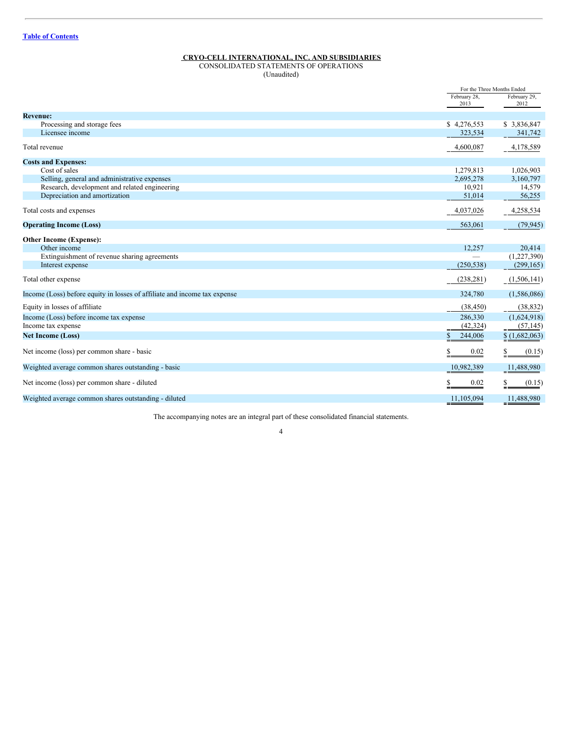<span id="page-3-0"></span>CONSOLIDATED STATEMENTS OF OPERATIONS (Unaudited)

|                                                                           |                     | For the Three Months Ended |
|---------------------------------------------------------------------------|---------------------|----------------------------|
|                                                                           | February 28,        | February 29,               |
|                                                                           | 2013                | 2012                       |
| <b>Revenue:</b>                                                           |                     |                            |
| Processing and storage fees                                               | \$4,276,553         | \$3,836,847                |
| Licensee income                                                           | 323,534             | 341,742                    |
| Total revenue                                                             | 4,600,087           | 4,178,589                  |
| <b>Costs and Expenses:</b>                                                |                     |                            |
| Cost of sales                                                             | 1,279,813           | 1,026,903                  |
| Selling, general and administrative expenses                              | 2,695,278           | 3,160,797                  |
| Research, development and related engineering                             | 10.921              | 14,579                     |
| Depreciation and amortization                                             | 51,014              | 56,255                     |
| Total costs and expenses                                                  | 4,037,026           | 4,258,534                  |
| <b>Operating Income (Loss)</b>                                            | 563,061             | (79, 945)                  |
| Other Income (Expense):                                                   |                     |                            |
| Other income                                                              | 12,257              | 20,414                     |
| Extinguishment of revenue sharing agreements                              |                     | (1,227,390)                |
| Interest expense                                                          | (250, 538)          | (299, 165)                 |
| Total other expense                                                       | (238, 281)          | (1,506,141)                |
| Income (Loss) before equity in losses of affiliate and income tax expense | 324,780             | (1,586,086)                |
| Equity in losses of affiliate                                             | (38, 450)           | (38, 832)                  |
| Income (Loss) before income tax expense                                   | 286,330             | (1,624,918)                |
| Income tax expense                                                        | (42, 324)           | (57, 145)                  |
| <b>Net Income (Loss)</b>                                                  | <b>S</b><br>244,006 | \$(1,682,063)              |
| Net income (loss) per common share - basic                                | 0.02                | (0.15)                     |
| Weighted average common shares outstanding - basic                        | 10,982,389          | 11,488,980                 |
| Net income (loss) per common share - diluted                              | 0.02                | (0.15)                     |
| Weighted average common shares outstanding - diluted                      | 11,105,094          | 11,488,980                 |

The accompanying notes are an integral part of these consolidated financial statements.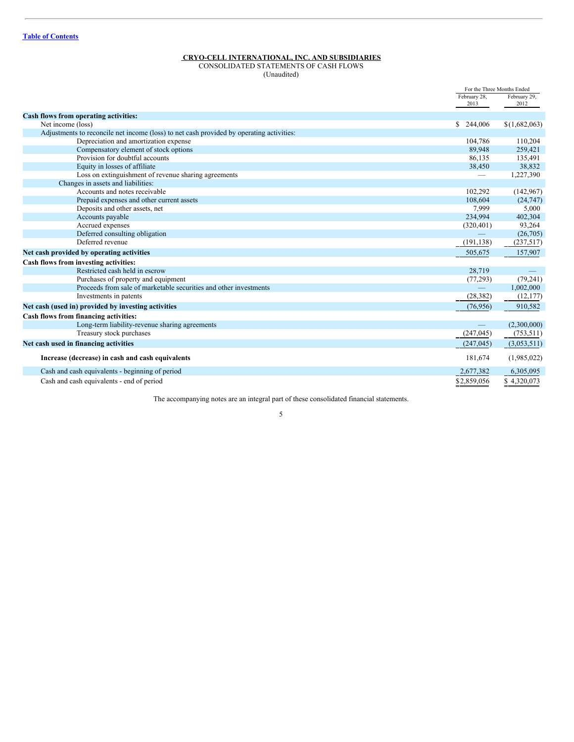# <span id="page-4-0"></span>CONSOLIDATED STATEMENTS OF CASH FLOWS

(Unaudited)

|                                                                                          |              | For the Three Months Ended |
|------------------------------------------------------------------------------------------|--------------|----------------------------|
|                                                                                          | February 28, | February 29,               |
|                                                                                          | 2013         | 2012                       |
| Cash flows from operating activities:                                                    |              |                            |
| Net income (loss)                                                                        | \$244,006    | \$(1,682,063)              |
| Adjustments to reconcile net income (loss) to net cash provided by operating activities: |              |                            |
| Depreciation and amortization expense                                                    | 104,786      | 110,204                    |
| Compensatory element of stock options                                                    | 89,948       | 259,421                    |
| Provision for doubtful accounts                                                          | 86,135       | 135,491                    |
| Equity in losses of affiliate                                                            | 38,450       | 38,832                     |
| Loss on extinguishment of revenue sharing agreements                                     |              | 1,227,390                  |
| Changes in assets and liabilities:                                                       |              |                            |
| Accounts and notes receivable                                                            | 102,292      | (142, 967)                 |
| Prepaid expenses and other current assets                                                | 108,604      | (24, 747)                  |
| Deposits and other assets, net                                                           | 7,999        | 5,000                      |
| Accounts payable                                                                         | 234,994      | 402,304                    |
| Accrued expenses                                                                         | (320, 401)   | 93,264                     |
| Deferred consulting obligation                                                           |              | (26,705)                   |
| Deferred revenue                                                                         | (191, 138)   | (237,517)                  |
| Net cash provided by operating activities                                                | 505,675      | 157,907                    |
| Cash flows from investing activities:                                                    |              |                            |
| Restricted cash held in escrow                                                           | 28,719       |                            |
| Purchases of property and equipment                                                      | (77, 293)    | (79, 241)                  |
| Proceeds from sale of marketable securities and other investments                        |              | 1,002,000                  |
| Investments in patents                                                                   | (28, 382)    | (12, 177)                  |
| Net cash (used in) provided by investing activities                                      | (76, 956)    | 910.582                    |
| Cash flows from financing activities:                                                    |              |                            |
| Long-term liability-revenue sharing agreements                                           |              | (2,300,000)                |
| Treasury stock purchases                                                                 | (247, 045)   | (753, 511)                 |
| Net cash used in financing activities                                                    | (247, 045)   | (3,053,511)                |
| Increase (decrease) in cash and cash equivalents                                         | 181,674      | (1,985,022)                |
| Cash and cash equivalents - beginning of period                                          | 2,677,382    | 6,305,095                  |
| Cash and cash equivalents - end of period                                                | \$2,859,056  | \$4,320,073                |

The accompanying notes are an integral part of these consolidated financial statements.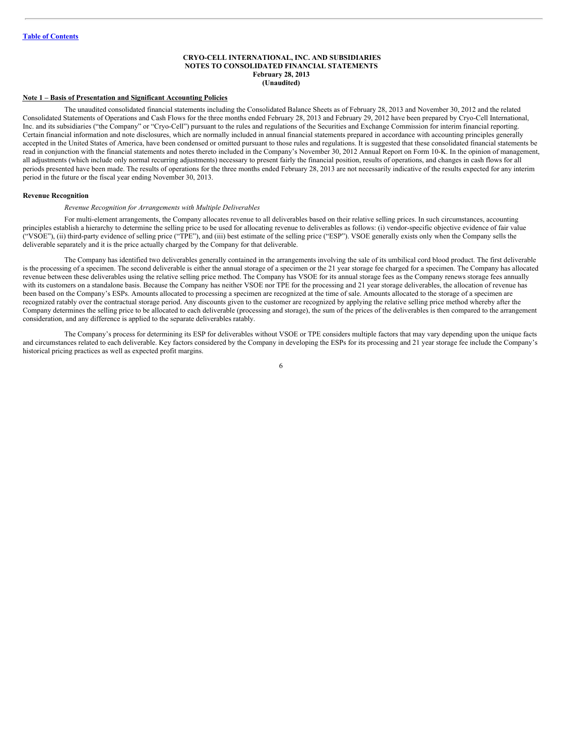### <span id="page-5-0"></span>**CRYO-CELL INTERNATIONAL, INC. AND SUBSIDIARIES NOTES TO CONSOLIDATED FINANCIAL STATEMENTS February 28, 2013 (Unaudited)**

#### **Note 1 – Basis of Presentation and Significant Accounting Policies**

The unaudited consolidated financial statements including the Consolidated Balance Sheets as of February 28, 2013 and November 30, 2012 and the related Consolidated Statements of Operations and Cash Flows for the three months ended February 28, 2013 and February 29, 2012 have been prepared by Cryo-Cell International, Inc. and its subsidiaries ("the Company" or "Cryo-Cell") pursuant to the rules and regulations of the Securities and Exchange Commission for interim financial reporting. Certain financial information and note disclosures, which are normally included in annual financial statements prepared in accordance with accounting principles generally accepted in the United States of America, have been condensed or omitted pursuant to those rules and regulations. It is suggested that these consolidated financial statements be read in conjunction with the financial statements and notes thereto included in the Company's November 30, 2012 Annual Report on Form 10-K. In the opinion of management, all adjustments (which include only normal recurring adjustments) necessary to present fairly the financial position, results of operations, and changes in cash flows for all periods presented have been made. The results of operations for the three months ended February 28, 2013 are not necessarily indicative of the results expected for any interim period in the future or the fiscal year ending November 30, 2013.

#### **Revenue Recognition**

#### *Revenue Recognition for Arrangements with Multiple Deliverables*

For multi-element arrangements, the Company allocates revenue to all deliverables based on their relative selling prices. In such circumstances, accounting principles establish a hierarchy to determine the selling price to be used for allocating revenue to deliverables as follows: (i) vendor-specific objective evidence of fair value ("VSOE"), (ii) third-party evidence of selling price ("TPE"), and (iii) best estimate of the selling price ("ESP"). VSOE generally exists only when the Company sells the deliverable separately and it is the price actually charged by the Company for that deliverable.

The Company has identified two deliverables generally contained in the arrangements involving the sale of its umbilical cord blood product. The first deliverable is the processing of a specimen. The second deliverable is either the annual storage of a specimen or the 21 year storage fee charged for a specimen. The Company has allocated revenue between these deliverables using the relative selling price method. The Company has VSOE for its annual storage fees as the Company renews storage fees annually with its customers on a standalone basis. Because the Company has neither VSOE nor TPE for the processing and 21 year storage deliverables, the allocation of revenue has been based on the Company's ESPs. Amounts allocated to processing a specimen are recognized at the time of sale. Amounts allocated to the storage of a specimen are recognized ratably over the contractual storage period. Any discounts given to the customer are recognized by applying the relative selling price method whereby after the Company determines the selling price to be allocated to each deliverable (processing and storage), the sum of the prices of the deliverables is then compared to the arrangement consideration, and any difference is applied to the separate deliverables ratably.

The Company's process for determining its ESP for deliverables without VSOE or TPE considers multiple factors that may vary depending upon the unique facts and circumstances related to each deliverable. Key factors considered by the Company in developing the ESPs for its processing and 21 year storage fee include the Company's historical pricing practices as well as expected profit margins.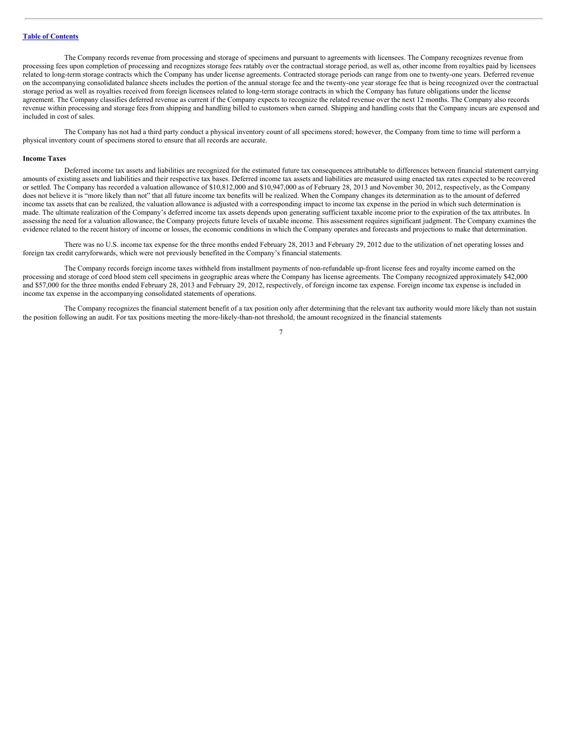The Company records revenue from processing and storage of specimens and pursuant to agreements with licensees. The Company recognizes revenue from processing fees upon completion of processing and recognizes storage fees ratably over the contractual storage period, as well as, other income from royalties paid by licensees related to long-term storage contracts which the Company has under license agreements. Contracted storage periods can range from one to twenty-one years. Deferred revenue on the accompanying consolidated balance sheets includes the portion of the annual storage fee and the twenty-one year storage fee that is being recognized over the contractual storage period as well as royalties received from foreign licensees related to long-term storage contracts in which the Company has future obligations under the license agreement. The Company classifies deferred revenue as current if the Company expects to recognize the related revenue over the next 12 months. The Company also records revenue within processing and storage fees from shipping and handling billed to customers when earned. Shipping and handling costs that the Company incurs are expensed and included in cost of sales.

The Company has not had a third party conduct a physical inventory count of all specimens stored; however, the Company from time to time will perform a physical inventory count of specimens stored to ensure that all records are accurate.

### **Income Taxes**

Deferred income tax assets and liabilities are recognized for the estimated future tax consequences attributable to differences between financial statement carrying amounts of existing assets and liabilities and their respective tax bases. Deferred income tax assets and liabilities are measured using enacted tax rates expected to be recovered or settled. The Company has recorded a valuation allowance of \$10,812,000 and \$10,947,000 as of February 28, 2013 and November 30, 2012, respectively, as the Company does not believe it is "more likely than not" that all future income tax benefits will be realized. When the Company changes its determination as to the amount of deferred income tax assets that can be realized, the valuation allowance is adjusted with a corresponding impact to income tax expense in the period in which such determination is made. The ultimate realization of the Company's deferred income tax assets depends upon generating sufficient taxable income prior to the expiration of the tax attributes. In assessing the need for a valuation allowance, the Company projects future levels of taxable income. This assessment requires significant judgment. The Company examines the evidence related to the recent history of income or losses, the economic conditions in which the Company operates and forecasts and projections to make that determination.

There was no U.S. income tax expense for the three months ended February 28, 2013 and February 29, 2012 due to the utilization of net operating losses and foreign tax credit carryforwards, which were not previously benefited in the Company's financial statements.

The Company records foreign income taxes withheld from installment payments of non-refundable up-front license fees and royalty income earned on the processing and storage of cord blood stem cell specimens in geographic areas where the Company has license agreements. The Company recognized approximately \$42,000 and \$57,000 for the three months ended February 28, 2013 and February 29, 2012, respectively, of foreign income tax expense. Foreign income tax expense is included in income tax expense in the accompanying consolidated statements of operations.

The Company recognizes the financial statement benefit of a tax position only after determining that the relevant tax authority would more likely than not sustain the position following an audit. For tax positions meeting the more-likely-than-not threshold, the amount recognized in the financial statements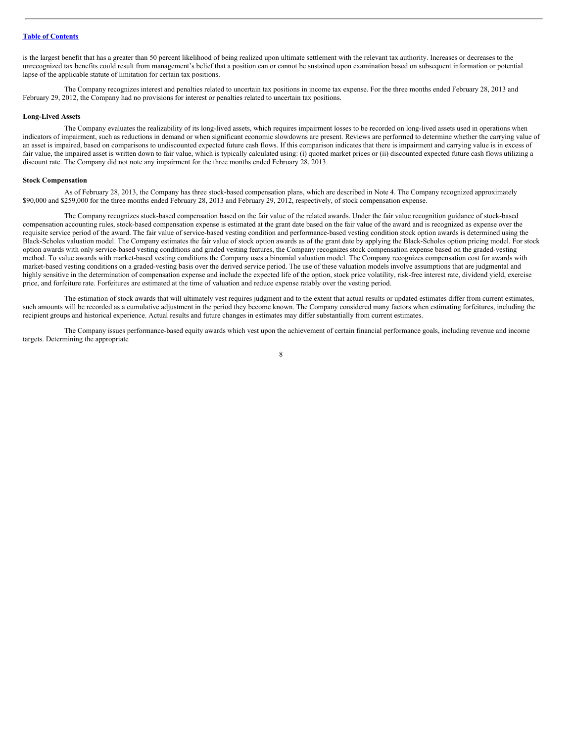is the largest benefit that has a greater than 50 percent likelihood of being realized upon ultimate settlement with the relevant tax authority. Increases or decreases to the unrecognized tax benefits could result from management's belief that a position can or cannot be sustained upon examination based on subsequent information or potential lapse of the applicable statute of limitation for certain tax positions.

The Company recognizes interest and penalties related to uncertain tax positions in income tax expense. For the three months ended February 28, 2013 and February 29, 2012, the Company had no provisions for interest or penalties related to uncertain tax positions.

#### **Long-Lived Assets**

The Company evaluates the realizability of its long-lived assets, which requires impairment losses to be recorded on long-lived assets used in operations when indicators of impairment, such as reductions in demand or when significant economic slowdowns are present. Reviews are performed to determine whether the carrying value of an asset is impaired, based on comparisons to undiscounted expected future cash flows. If this comparison indicates that there is impairment and carrying value is in excess of fair value, the impaired asset is written down to fair value, which is typically calculated using: (i) quoted market prices or (ii) discounted expected future cash flows utilizing a discount rate. The Company did not note any impairment for the three months ended February 28, 2013.

#### **Stock Compensation**

As of February 28, 2013, the Company has three stock-based compensation plans, which are described in Note 4. The Company recognized approximately \$90,000 and \$259,000 for the three months ended February 28, 2013 and February 29, 2012, respectively, of stock compensation expense.

The Company recognizes stock-based compensation based on the fair value of the related awards. Under the fair value recognition guidance of stock-based compensation accounting rules, stock-based compensation expense is estimated at the grant date based on the fair value of the award and is recognized as expense over the requisite service period of the award. The fair value of service-based vesting condition and performance-based vesting condition stock option awards is determined using the Black-Scholes valuation model. The Company estimates the fair value of stock option awards as of the grant date by applying the Black-Scholes option pricing model. For stock option awards with only service-based vesting conditions and graded vesting features, the Company recognizes stock compensation expense based on the graded-vesting method. To value awards with market-based vesting conditions the Company uses a binomial valuation model. The Company recognizes compensation cost for awards with market-based vesting conditions on a graded-vesting basis over the derived service period. The use of these valuation models involve assumptions that are judgmental and highly sensitive in the determination of compensation expense and include the expected life of the option, stock price volatility, risk-free interest rate, dividend yield, exercise price, and forfeiture rate. Forfeitures are estimated at the time of valuation and reduce expense ratably over the vesting period.

The estimation of stock awards that will ultimately vest requires judgment and to the extent that actual results or updated estimates differ from current estimates, such amounts will be recorded as a cumulative adjustment in the period they become known. The Company considered many factors when estimating forfeitures, including the recipient groups and historical experience. Actual results and future changes in estimates may differ substantially from current estimates.

The Company issues performance-based equity awards which vest upon the achievement of certain financial performance goals, including revenue and income targets. Determining the appropriate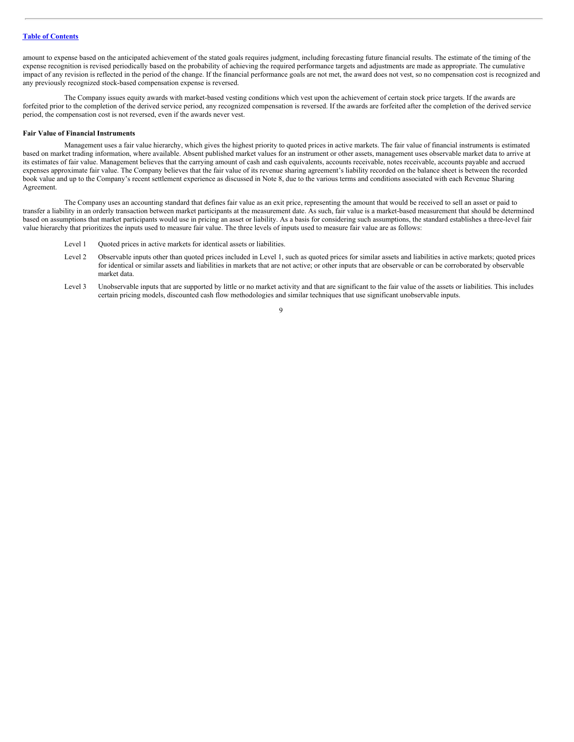amount to expense based on the anticipated achievement of the stated goals requires judgment, including forecasting future financial results. The estimate of the timing of the expense recognition is revised periodically based on the probability of achieving the required performance targets and adjustments are made as appropriate. The cumulative impact of any revision is reflected in the period of the change. If the financial performance goals are not met, the award does not vest, so no compensation cost is recognized and any previously recognized stock-based compensation expense is reversed.

The Company issues equity awards with market-based vesting conditions which vest upon the achievement of certain stock price targets. If the awards are forfeited prior to the completion of the derived service period, any recognized compensation is reversed. If the awards are forfeited after the completion of the derived service period, the compensation cost is not reversed, even if the awards never vest.

### **Fair Value of Financial Instruments**

Management uses a fair value hierarchy, which gives the highest priority to quoted prices in active markets. The fair value of financial instruments is estimated based on market trading information, where available. Absent published market values for an instrument or other assets, management uses observable market data to arrive at its estimates of fair value. Management believes that the carrying amount of cash and cash equivalents, accounts receivable, notes receivable, accounts payable and accrued expenses approximate fair value. The Company believes that the fair value of its revenue sharing agreement's liability recorded on the balance sheet is between the recorded book value and up to the Company's recent settlement experience as discussed in Note 8, due to the various terms and conditions associated with each Revenue Sharing Agreement.

The Company uses an accounting standard that defines fair value as an exit price, representing the amount that would be received to sell an asset or paid to transfer a liability in an orderly transaction between market participants at the measurement date. As such, fair value is a market-based measurement that should be determined based on assumptions that market participants would use in pricing an asset or liability. As a basis for considering such assumptions, the standard establishes a three-level fair value hierarchy that prioritizes the inputs used to measure fair value. The three levels of inputs used to measure fair value are as follows:

- Level 1 Quoted prices in active markets for identical assets or liabilities.
- Level 2 Observable inputs other than quoted prices included in Level 1, such as quoted prices for similar assets and liabilities in active markets; quoted prices for identical or similar assets and liabilities in markets that are not active; or other inputs that are observable or can be corroborated by observable market data.
- Level 3 Unobservable inputs that are supported by little or no market activity and that are significant to the fair value of the assets or liabilities. This includes certain pricing models, discounted cash flow methodologies and similar techniques that use significant unobservable inputs.

 $\overline{Q}$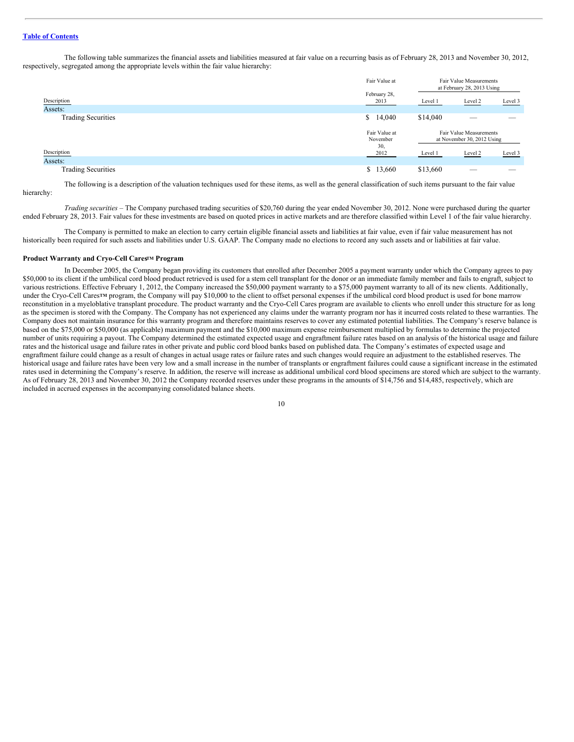The following table summarizes the financial assets and liabilities measured at fair value on a recurring basis as of February 28, 2013 and November 30, 2012, respectively, segregated among the appropriate levels within the fair value hierarchy:

|                           | Fair Value at             | Fair Value Measurements<br>at February 28, 2013 Using |                                                       |         |
|---------------------------|---------------------------|-------------------------------------------------------|-------------------------------------------------------|---------|
| Description<br>Assets:    | February 28,<br>2013      | Level 1                                               | Level 2                                               | Level 3 |
| <b>Trading Securities</b> | \$14,040                  | \$14,040                                              | __                                                    |         |
|                           | Fair Value at<br>November |                                                       | Fair Value Measurements<br>at November 30, 2012 Using |         |
| Description               | 30,<br>2012               | Level 1                                               | Level 2                                               | Level 3 |
| Assets:                   |                           |                                                       |                                                       |         |
| <b>Trading Securities</b> | \$13,660                  | \$13,660                                              |                                                       |         |

The following is a description of the valuation techniques used for these items, as well as the general classification of such items pursuant to the fair value hierarchy:

*Trading securities –* The Company purchased trading securities of \$20,760 during the year ended November 30, 2012. None were purchased during the quarter ended February 28, 2013. Fair values for these investments are based on quoted prices in active markets and are therefore classified within Level 1 of the fair value hierarchy.

The Company is permitted to make an election to carry certain eligible financial assets and liabilities at fair value, even if fair value measurement has not historically been required for such assets and liabilities under U.S. GAAP. The Company made no elections to record any such assets and or liabilities at fair value.

#### **Product Warranty and Cryo-Cell Cares<sup>TM</sup> Program**

In December 2005, the Company began providing its customers that enrolled after December 2005 a payment warranty under which the Company agrees to pay \$50,000 to its client if the umbilical cord blood product retrieved is used for a stem cell transplant for the donor or an immediate family member and fails to engraft, subject to various restrictions. Effective February 1, 2012, the Company increased the \$50,000 payment warranty to a \$75,000 payment warranty to all of its new clients. Additionally, under the Cryo-Cell Cares<sup>TM</sup> program, the Company will pay \$10,000 to the client to offset personal expenses if the umbilical cord blood product is used for bone marrow reconstitution in a myeloblative transplant procedure. The product warranty and the Cryo-Cell Cares program are available to clients who enroll under this structure for as long as the specimen is stored with the Company. The Company has not experienced any claims under the warranty program nor has it incurred costs related to these warranties. The Company does not maintain insurance for this warranty program and therefore maintains reserves to cover any estimated potential liabilities. The Company's reserve balance is based on the \$75,000 or \$50,000 (as applicable) maximum payment and the \$10,000 maximum expense reimbursement multiplied by formulas to determine the projected number of units requiring a payout. The Company determined the estimated expected usage and engraftment failure rates based on an analysis of the historical usage and failure rates and the historical usage and failure rates in other private and public cord blood banks based on published data. The Company's estimates of expected usage and engraftment failure could change as a result of changes in actual usage rates or failure rates and such changes would require an adjustment to the established reserves. The historical usage and failure rates have been very low and a small increase in the number of transplants or engraftment failures could cause a significant increase in the estimated rates used in determining the Company's reserve. In addition, the reserve will increase as additional umbilical cord blood specimens are stored which are subject to the warranty. As of February 28, 2013 and November 30, 2012 the Company recorded reserves under these programs in the amounts of \$14,756 and \$14,485, respectively, which are included in accrued expenses in the accompanying consolidated balance sheets.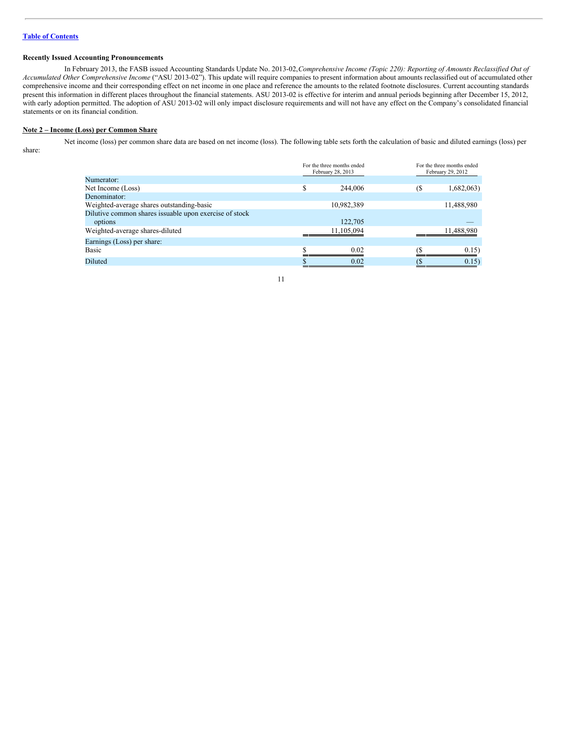### **Recently Issued Accounting Pronouncements**

In February 2013, the FASB issued Accounting Standards Update No. 2013-02,*Comprehensive Income (Topic 220): Reporting of Amounts Reclassified Out of Accumulated Other Comprehensive Income* ("ASU 2013-02"). This update will require companies to present information about amounts reclassified out of accumulated other comprehensive income and their corresponding effect on net income in one place and reference the amounts to the related footnote disclosures. Current accounting standards present this information in different places throughout the financial statements. ASU 2013-02 is effective for interim and annual periods beginning after December 15, 2012, with early adoption permitted. The adoption of ASU 2013-02 will only impact disclosure requirements and will not have any effect on the Company's consolidated financial statements or on its financial condition.

#### **Note 2 – Income (Loss) per Common Share**

Net income (loss) per common share data are based on net income (loss). The following table sets forth the calculation of basic and diluted earnings (loss) per share:

|                                                        |   | For the three months ended<br>February 28, 2013 |     | For the three months ended<br>February 29, 2012 |
|--------------------------------------------------------|---|-------------------------------------------------|-----|-------------------------------------------------|
| Numerator:                                             |   |                                                 |     |                                                 |
| Net Income (Loss)                                      | S | 244,006                                         | (\$ | 1,682,063                                       |
| Denominator:                                           |   |                                                 |     |                                                 |
| Weighted-average shares outstanding-basic              |   | 10,982,389                                      |     | 11,488,980                                      |
| Dilutive common shares issuable upon exercise of stock |   |                                                 |     |                                                 |
| options                                                |   | 122,705                                         |     |                                                 |
| Weighted-average shares-diluted                        |   | 11,105,094                                      |     | 11,488,980                                      |
| Earnings (Loss) per share:                             |   |                                                 |     |                                                 |
| Basic                                                  |   | 0.02                                            |     | 0.15)                                           |
| Diluted                                                |   | 0.02                                            |     | 0.15)                                           |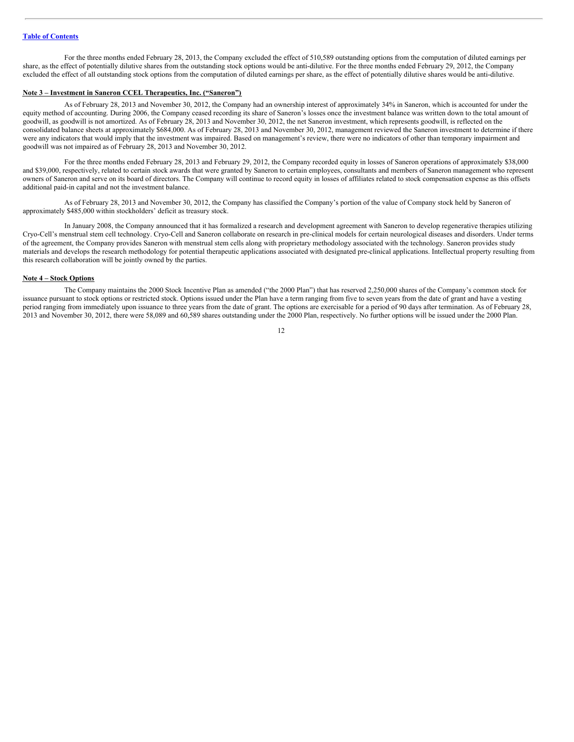For the three months ended February 28, 2013, the Company excluded the effect of 510,589 outstanding options from the computation of diluted earnings per share, as the effect of potentially dilutive shares from the outstanding stock options would be anti-dilutive. For the three months ended February 29, 2012, the Company excluded the effect of all outstanding stock options from the computation of diluted earnings per share, as the effect of potentially dilutive shares would be anti-dilutive.

### **Note 3 – Investment in Saneron CCEL Therapeutics, Inc. ("Saneron")**

As of February 28, 2013 and November 30, 2012, the Company had an ownership interest of approximately 34% in Saneron, which is accounted for under the equity method of accounting. During 2006, the Company ceased recording its share of Saneron's losses once the investment balance was written down to the total amount of goodwill, as goodwill is not amortized. As of February 28, 2013 and November 30, 2012, the net Saneron investment, which represents goodwill, is reflected on the consolidated balance sheets at approximately \$684,000. As of February 28, 2013 and November 30, 2012, management reviewed the Saneron investment to determine if there were any indicators that would imply that the investment was impaired. Based on management's review, there were no indicators of other than temporary impairment and goodwill was not impaired as of February 28, 2013 and November 30, 2012.

For the three months ended February 28, 2013 and February 29, 2012, the Company recorded equity in losses of Saneron operations of approximately \$38,000 and \$39,000, respectively, related to certain stock awards that were granted by Saneron to certain employees, consultants and members of Saneron management who represent owners of Saneron and serve on its board of directors. The Company will continue to record equity in losses of affiliates related to stock compensation expense as this offsets additional paid-in capital and not the investment balance.

As of February 28, 2013 and November 30, 2012, the Company has classified the Company's portion of the value of Company stock held by Saneron of approximately \$485,000 within stockholders' deficit as treasury stock.

In January 2008, the Company announced that it has formalized a research and development agreement with Saneron to develop regenerative therapies utilizing Cryo-Cell's menstrual stem cell technology. Cryo-Cell and Saneron collaborate on research in pre-clinical models for certain neurological diseases and disorders. Under terms of the agreement, the Company provides Saneron with menstrual stem cells along with proprietary methodology associated with the technology. Saneron provides study materials and develops the research methodology for potential therapeutic applications associated with designated pre-clinical applications. Intellectual property resulting from this research collaboration will be jointly owned by the parties.

### **Note 4 – Stock Options**

The Company maintains the 2000 Stock Incentive Plan as amended ("the 2000 Plan") that has reserved 2,250,000 shares of the Company's common stock for issuance pursuant to stock options or restricted stock. Options issued under the Plan have a term ranging from five to seven years from the date of grant and have a vesting period ranging from immediately upon issuance to three years from the date of grant. The options are exercisable for a period of 90 days after termination. As of February 28, 2013 and November 30, 2012, there were 58,089 and 60,589 shares outstanding under the 2000 Plan, respectively. No further options will be issued under the 2000 Plan.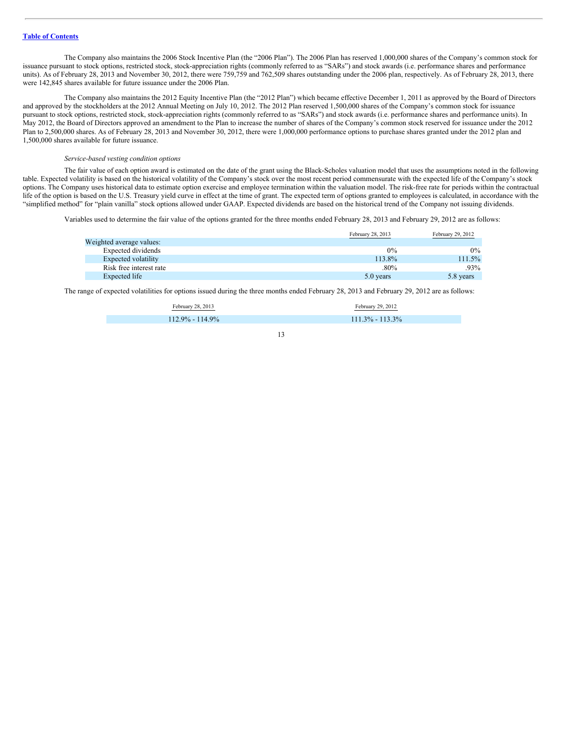The Company also maintains the 2006 Stock Incentive Plan (the "2006 Plan"). The 2006 Plan has reserved 1,000,000 shares of the Company's common stock for issuance pursuant to stock options, restricted stock, stock-appreciation rights (commonly referred to as "SARs") and stock awards (i.e. performance shares and performance units). As of February 28, 2013 and November 30, 2012, there were 759,759 and 762,509 shares outstanding under the 2006 plan, respectively. As of February 28, 2013, there were 142,845 shares available for future issuance under the 2006 Plan.

The Company also maintains the 2012 Equity Incentive Plan (the "2012 Plan") which became effective December 1, 2011 as approved by the Board of Directors and approved by the stockholders at the 2012 Annual Meeting on July 10, 2012. The 2012 Plan reserved 1,500,000 shares of the Company's common stock for issuance pursuant to stock options, restricted stock, stock-appreciation rights (commonly referred to as "SARs") and stock awards (i.e. performance shares and performance units). In May 2012, the Board of Directors approved an amendment to the Plan to increase the number of shares of the Company's common stock reserved for issuance under the 2012 Plan to 2,500,000 shares. As of February 28, 2013 and November 30, 2012, there were 1,000,000 performance options to purchase shares granted under the 2012 plan and 1,500,000 shares available for future issuance.

### *Service-based vesting condition options*

The fair value of each option award is estimated on the date of the grant using the Black-Scholes valuation model that uses the assumptions noted in the following table. Expected volatility is based on the historical volatility of the Company's stock over the most recent period commensurate with the expected life of the Company's stock options. The Company uses historical data to estimate option exercise and employee termination within the valuation model. The risk-free rate for periods within the contractual life of the option is based on the U.S. Treasury yield curve in effect at the time of grant. The expected term of options granted to employees is calculated, in accordance with the "simplified method" for "plain vanilla" stock options allowed under GAAP. Expected dividends are based on the historical trend of the Company not issuing dividends.

Variables used to determine the fair value of the options granted for the three months ended February 28, 2013 and February 29, 2012 are as follows:

|                          | February 28, 2013 | February 29, 2012 |
|--------------------------|-------------------|-------------------|
| Weighted average values: |                   |                   |
| Expected dividends       | $0\%$             | $0\%$             |
| Expected volatility      | 113.8%            | 111.5%            |
| Risk free interest rate  | $.80\%$           | .93%              |
| Expected life            | 5.0 years         | 5.8 years         |

The range of expected volatilities for options issued during the three months ended February 28, 2013 and February 29, 2012 are as follows:

| February 28, 2013 | 29.2012                 |
|-------------------|-------------------------|
| 4.9%              | $113.3\%$               |
| $112.9\%$ -       | $11.3\% -$ <sup>1</sup> |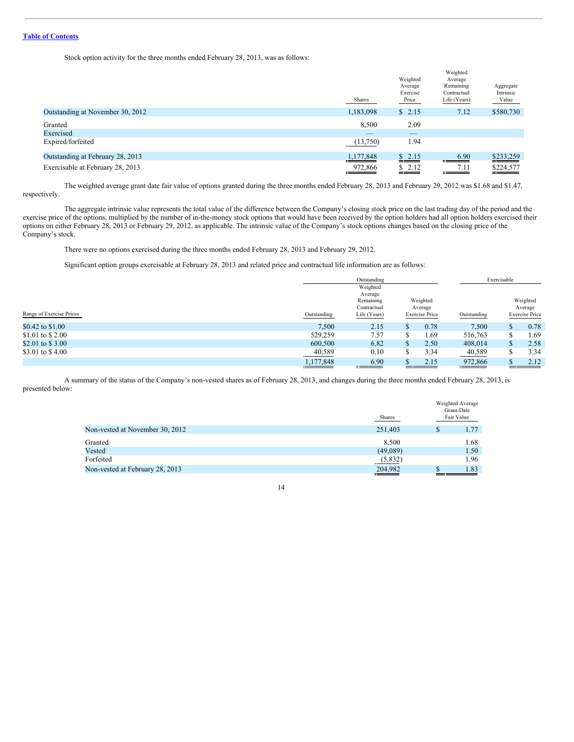Stock option activity for the three months ended February 28, 2013, was as follows:

|                                  | Shares                            | Weighted<br>Average<br>Exercise<br>Price | Weighted<br>Average<br>Remaining<br>Contractual<br>Life (Years) | Aggregate<br>Intrinsic<br>Value |
|----------------------------------|-----------------------------------|------------------------------------------|-----------------------------------------------------------------|---------------------------------|
| Outstanding at November 30, 2012 | 1,183,098                         | \$2.15                                   | 7.12                                                            | \$580,730                       |
| Granted                          | 8,500                             | 2.09                                     |                                                                 |                                 |
| Exercised                        | $-$                               | _                                        |                                                                 |                                 |
| Expired/forfeited                | (13,750)                          | 1.94                                     |                                                                 |                                 |
| Outstanding at February 28, 2013 | 1,177,848                         | \$2.15<br>_____                          | 6.90                                                            | \$233,259                       |
| Exercisable at February 28, 2013 | 972,866<br><u>. _ _ _ _ _ _ _</u> | \$2.12<br>----                           | 7.11                                                            | \$224,577                       |

The weighted average grant date fair value of options granted during the three months ended February 28, 2013 and February 29, 2012 was \$1.68 and \$1.47, respectively.

The aggregate intrinsic value represents the total value of the difference between the Company's closing stock price on the last trading day of the period and the exercise price of the options, multiplied by the number of in-the-money stock options that would have been received by the option holders had all option holders exercised their options on either February 28, 2013 or February 29, 2012, as applicable. The intrinsic value of the Company's stock options changes based on the closing price of the Company's stock.

There were no options exercised during the three months ended February 28, 2013 and February 29, 2012.

Significant option groups exercisable at February 28, 2013 and related price and contractual life information are as follows:

|                          |             | Outstanding                                                     |    |                                              | Exercisable |    |                                              |
|--------------------------|-------------|-----------------------------------------------------------------|----|----------------------------------------------|-------------|----|----------------------------------------------|
| Range of Exercise Prices | Outstanding | Weighted<br>Average<br>Remaining<br>Contractual<br>Life (Years) |    | Weighted<br>Average<br><b>Exercise Price</b> | Outstanding |    | Weighted<br>Average<br><b>Exercise Price</b> |
| \$0.42 to \$1.00         | 7,500       | 2.15                                                            | ٠D | 0.78                                         | 7,500       | \$ | 0.78                                         |
| \$1.01 to \$2.00         | 529,259     | 7.57                                                            |    | 1.69                                         | 516,763     |    | 1.69                                         |
| \$2.01 to \$3.00         | 600,500     | 6.82                                                            | ъ  | 2.50                                         | 408,014     | \$ | 2.58                                         |
| \$3.01 to \$4.00         | 40,589      | 0.10                                                            | S  | 3.34                                         | 40,589      | S  | 3.34                                         |
|                          | 1,177,848   | 6.90                                                            |    | 2.15                                         | 972,866     |    | 2.12                                         |

A summary of the status of the Company's non-vested shares as of February 28, 2013, and changes during the three months ended February 28, 2013, is presented below:

|                                 | Shares   | Weighted Average<br>Grant-Date<br>Fair Value |
|---------------------------------|----------|----------------------------------------------|
| Non-vested at November 30, 2012 | 251.403  | \$<br>1.77                                   |
| Granted                         | 8.500    | 1.68                                         |
| Vested                          | (49,089) | 1.50                                         |
| Forfeited                       | (5,832)  | 1.96                                         |
| Non-vested at February 28, 2013 | 204.982  | \$<br>1.83                                   |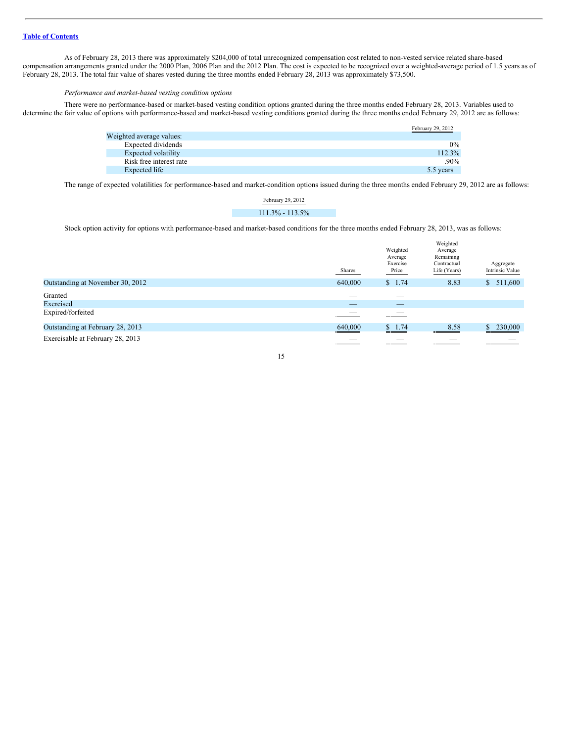As of February 28, 2013 there was approximately \$204,000 of total unrecognized compensation cost related to non-vested service related share-based compensation arrangements granted under the 2000 Plan, 2006 Plan and the 2012 Plan. The cost is expected to be recognized over a weighted-average period of 1.5 years as of February 28, 2013. The total fair value of shares vested during the three months ended February 28, 2013 was approximately \$73,500.

### *Performance and market-based vesting condition options*

There were no performance-based or market-based vesting condition options granted during the three months ended February 28, 2013. Variables used to determine the fair value of options with performance-based and market-based vesting conditions granted during the three months ended February 29, 2012 are as follows:

|                          | February 29, 2012 |
|--------------------------|-------------------|
| Weighted average values: |                   |
| Expected dividends       | $0\%$             |
| Expected volatility      | 112.3%            |
| Risk free interest rate  | .90%              |
| Expected life            | 5.5 years         |

The range of expected volatilities for performance-based and market-condition options issued during the three months ended February 29, 2012 are as follows:

| February 29, 2012   |  |
|---------------------|--|
|                     |  |
| $111.3\% - 113.5\%$ |  |

Stock option activity for options with performance-based and market-based conditions for the three months ended February 28, 2013, was as follows:

|                                  | Shares  | Weighted<br>Average<br>Exercise<br>Price | Weighted<br>Average<br>Remaining<br>Contractual<br>Life (Years) | Aggregate<br>Intrinsic Value |
|----------------------------------|---------|------------------------------------------|-----------------------------------------------------------------|------------------------------|
| Outstanding at November 30, 2012 | 640,000 | \$1.74                                   | 8.83                                                            | 511,600<br><sup>S</sup>      |
| Granted                          | __      | __                                       |                                                                 |                              |
| Exercised                        | _       | _                                        |                                                                 |                              |
| Expired/forfeited                | _       |                                          |                                                                 |                              |
| Outstanding at February 28, 2013 | 640,000 | \$1.74                                   | 8.58                                                            | 230,000<br>S.                |
| Exercisable at February 28, 2013 |         | <b>Contract Contract Contract</b>        |                                                                 |                              |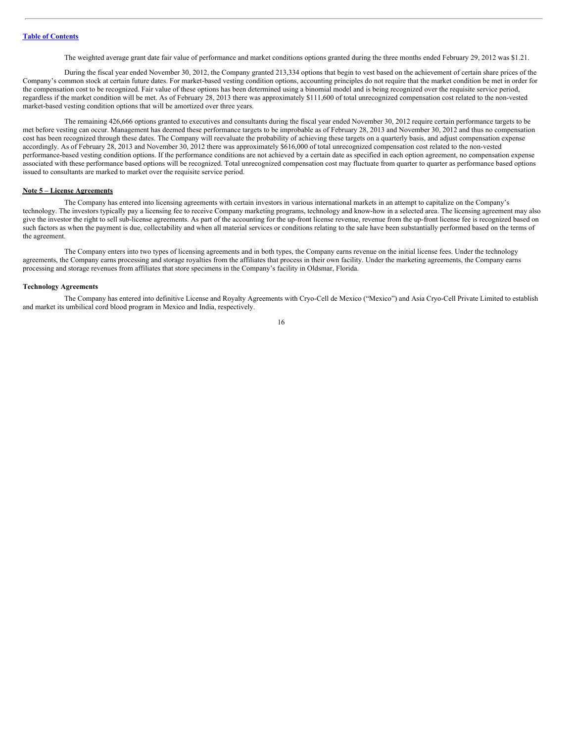The weighted average grant date fair value of performance and market conditions options granted during the three months ended February 29, 2012 was \$1.21.

During the fiscal year ended November 30, 2012, the Company granted 213,334 options that begin to vest based on the achievement of certain share prices of the Company's common stock at certain future dates. For market-based vesting condition options, accounting principles do not require that the market condition be met in order for the compensation cost to be recognized. Fair value of these options has been determined using a binomial model and is being recognized over the requisite service period, regardless if the market condition will be met. As of February 28, 2013 there was approximately \$111,600 of total unrecognized compensation cost related to the non-vested market-based vesting condition options that will be amortized over three years.

The remaining 426,666 options granted to executives and consultants during the fiscal year ended November 30, 2012 require certain performance targets to be met before vesting can occur. Management has deemed these performance targets to be improbable as of February 28, 2013 and November 30, 2012 and thus no compensation cost has been recognized through these dates. The Company will reevaluate the probability of achieving these targets on a quarterly basis, and adjust compensation expense accordingly. As of February 28, 2013 and November 30, 2012 there was approximately \$616,000 of total unrecognized compensation cost related to the non-vested performance-based vesting condition options. If the performance conditions are not achieved by a certain date as specified in each option agreement, no compensation expense associated with these performance based options will be recognized. Total unrecognized compensation cost may fluctuate from quarter to quarter as performance based options issued to consultants are marked to market over the requisite service period.

### **Note 5 – License Agreements**

The Company has entered into licensing agreements with certain investors in various international markets in an attempt to capitalize on the Company's technology. The investors typically pay a licensing fee to receive Company marketing programs, technology and know-how in a selected area. The licensing agreement may also give the investor the right to sell sub-license agreements. As part of the accounting for the up-front license revenue, revenue from the up-front license fee is recognized based on such factors as when the payment is due, collectability and when all material services or conditions relating to the sale have been substantially performed based on the terms of the agreement.

The Company enters into two types of licensing agreements and in both types, the Company earns revenue on the initial license fees. Under the technology agreements, the Company earns processing and storage royalties from the affiliates that process in their own facility. Under the marketing agreements, the Company earns processing and storage revenues from affiliates that store specimens in the Company's facility in Oldsmar, Florida.

### **Technology Agreements**

The Company has entered into definitive License and Royalty Agreements with Cryo-Cell de Mexico ("Mexico") and Asia Cryo-Cell Private Limited to establish and market its umbilical cord blood program in Mexico and India, respectively.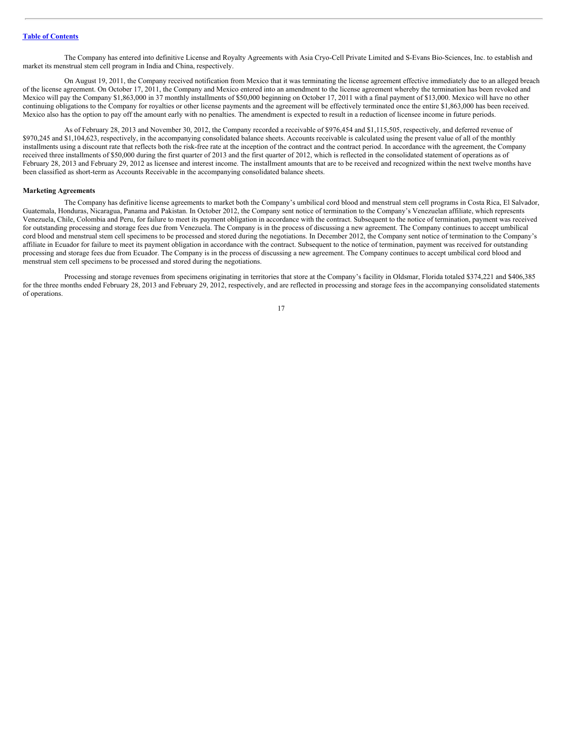The Company has entered into definitive License and Royalty Agreements with Asia Cryo-Cell Private Limited and S-Evans Bio-Sciences, Inc. to establish and market its menstrual stem cell program in India and China, respectively.

On August 19, 2011, the Company received notification from Mexico that it was terminating the license agreement effective immediately due to an alleged breach of the license agreement. On October 17, 2011, the Company and Mexico entered into an amendment to the license agreement whereby the termination has been revoked and Mexico will pay the Company \$1,863,000 in 37 monthly installments of \$50,000 beginning on October 17, 2011 with a final payment of \$13,000. Mexico will have no other continuing obligations to the Company for royalties or other license payments and the agreement will be effectively terminated once the entire \$1,863,000 has been received. Mexico also has the option to pay off the amount early with no penalties. The amendment is expected to result in a reduction of licensee income in future periods.

As of February 28, 2013 and November 30, 2012, the Company recorded a receivable of \$976,454 and \$1,115,505, respectively, and deferred revenue of \$970,245 and \$1,104,623, respectively, in the accompanying consolidated balance sheets. Accounts receivable is calculated using the present value of all of the monthly installments using a discount rate that reflects both the risk-free rate at the inception of the contract and the contract period. In accordance with the agreement, the Company received three installments of \$50,000 during the first quarter of 2013 and the first quarter of 2012, which is reflected in the consolidated statement of operations as of February 28, 2013 and February 29, 2012 as licensee and interest income. The installment amounts that are to be received and recognized within the next twelve months have been classified as short-term as Accounts Receivable in the accompanying consolidated balance sheets.

### **Marketing Agreements**

The Company has definitive license agreements to market both the Company's umbilical cord blood and menstrual stem cell programs in Costa Rica, El Salvador, Guatemala, Honduras, Nicaragua, Panama and Pakistan. In October 2012, the Company sent notice of termination to the Company's Venezuelan affiliate, which represents Venezuela, Chile, Colombia and Peru, for failure to meet its payment obligation in accordance with the contract. Subsequent to the notice of termination, payment was received for outstanding processing and storage fees due from Venezuela. The Company is in the process of discussing a new agreement. The Company continues to accept umbilical cord blood and menstrual stem cell specimens to be processed and stored during the negotiations. In December 2012, the Company sent notice of termination to the Company's affiliate in Ecuador for failure to meet its payment obligation in accordance with the contract. Subsequent to the notice of termination, payment was received for outstanding processing and storage fees due from Ecuador. The Company is in the process of discussing a new agreement. The Company continues to accept umbilical cord blood and menstrual stem cell specimens to be processed and stored during the negotiations.

Processing and storage revenues from specimens originating in territories that store at the Company's facility in Oldsmar, Florida totaled \$374,221 and \$406,385 for the three months ended February 28, 2013 and February 29, 2012, respectively, and are reflected in processing and storage fees in the accompanying consolidated statements of operations.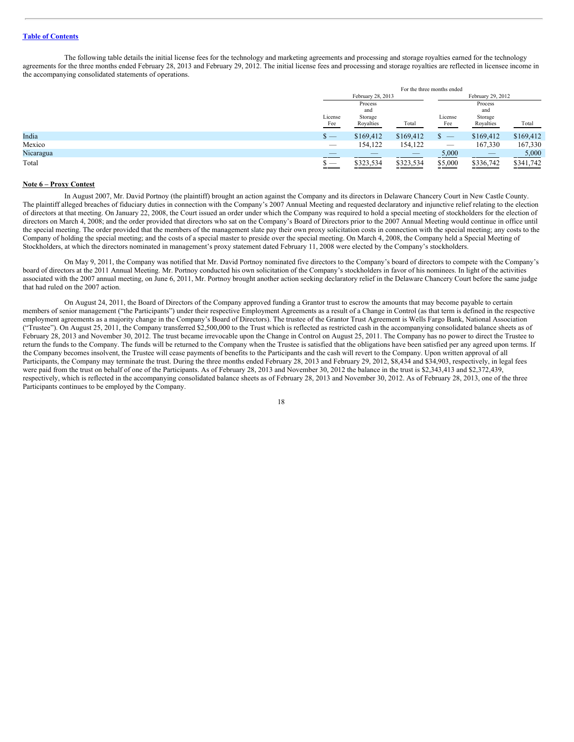### **Table of [Contents](#page-1-0)**

The following table details the initial license fees for the technology and marketing agreements and processing and storage royalties earned for the technology agreements for the three months ended February 28, 2013 and February 29, 2012. The initial license fees and processing and storage royalties are reflected in licensee income in the accompanying consolidated statements of operations.

|           |                                 |                          |                                 | For the three months ended |                                |           |
|-----------|---------------------------------|--------------------------|---------------------------------|----------------------------|--------------------------------|-----------|
|           |                                 | February 28, 2013        |                                 |                            | February 29, 2012              |           |
|           |                                 | Process                  |                                 |                            | Process                        |           |
|           |                                 | and                      |                                 |                            | and                            |           |
|           | License                         | Storage                  |                                 | License                    | Storage                        |           |
|           | Fee                             | Royalties                | Total                           | Fee                        | Royalties                      | Total     |
| India     | $s -$                           | \$169,412                | \$169,412                       | $\overline{\phantom{m}}$   | \$169,412                      | \$169,412 |
| Mexico    |                                 | 154,122                  | 154,122                         |                            | 167,330                        | 167,330   |
| Nicaragua | $-$                             | $\overline{\phantom{a}}$ | $\hspace{0.1mm}-\hspace{0.1mm}$ | 5,000                      | $\overbrace{\hspace{25mm}}^{}$ | 5,000     |
| Total     | $\overline{\phantom{m}}$<br>=== | \$323,534                | \$323,534                       | \$5,000<br>___             | \$336,742<br>_____             | \$341,742 |

### **Note 6 – Proxy Contest**

In August 2007, Mr. David Portnoy (the plaintiff) brought an action against the Company and its directors in Delaware Chancery Court in New Castle County. The plaintiff alleged breaches of fiduciary duties in connection with the Company's 2007 Annual Meeting and requested declaratory and injunctive relief relating to the election of directors at that meeting. On January 22, 2008, the Court issued an order under which the Company was required to hold a special meeting of stockholders for the election of directors on March 4, 2008; and the order provided that directors who sat on the Company's Board of Directors prior to the 2007 Annual Meeting would continue in office until the special meeting. The order provided that the members of the management slate pay their own proxy solicitation costs in connection with the special meeting; any costs to the Company of holding the special meeting; and the costs of a special master to preside over the special meeting. On March 4, 2008, the Company held a Special Meeting of Stockholders, at which the directors nominated in management's proxy statement dated February 11, 2008 were elected by the Company's stockholders.

On May 9, 2011, the Company was notified that Mr. David Portnoy nominated five directors to the Company's board of directors to compete with the Company's board of directors at the 2011 Annual Meeting. Mr. Portnoy conducted his own solicitation of the Company's stockholders in favor of his nominees. In light of the activities associated with the 2007 annual meeting, on June 6, 2011, Mr. Portnoy brought another action seeking declaratory relief in the Delaware Chancery Court before the same judge that had ruled on the 2007 action.

On August 24, 2011, the Board of Directors of the Company approved funding a Grantor trust to escrow the amounts that may become payable to certain members of senior management ("the Participants") under their respective Employment Agreements as a result of a Change in Control (as that term is defined in the respective employment agreements as a majority change in the Company's Board of Directors). The trustee of the Grantor Trust Agreement is Wells Fargo Bank, National Association ("Trustee"). On August 25, 2011, the Company transferred \$2,500,000 to the Trust which is reflected as restricted cash in the accompanying consolidated balance sheets as of February 28, 2013 and November 30, 2012. The trust became irrevocable upon the Change in Control on August 25, 2011. The Company has no power to direct the Trustee to return the funds to the Company. The funds will be returned to the Company when the Trustee is satisfied that the obligations have been satisfied per any agreed upon terms. If the Company becomes insolvent, the Trustee will cease payments of benefits to the Participants and the cash will revert to the Company. Upon written approval of all Participants, the Company may terminate the trust. During the three months ended February 28, 2013 and February 29, 2012, \$8,434 and \$34,903, respectively, in legal fees were paid from the trust on behalf of one of the Participants. As of February 28, 2013 and November 30, 2012 the balance in the trust is \$2,343,413 and \$2,372,439, respectively, which is reflected in the accompanying consolidated balance sheets as of February 28, 2013 and November 30, 2012. As of February 28, 2013, one of the three Participants continues to be employed by the Company.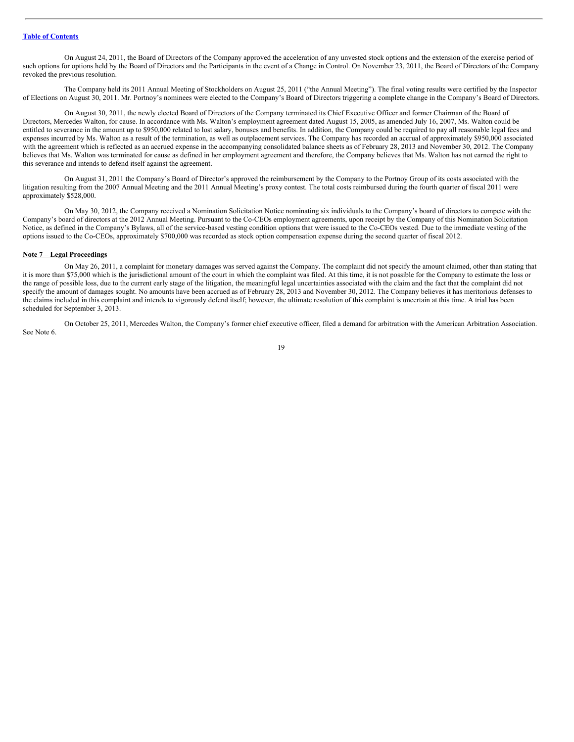On August 24, 2011, the Board of Directors of the Company approved the acceleration of any unvested stock options and the extension of the exercise period of such options for options held by the Board of Directors and the Participants in the event of a Change in Control. On November 23, 2011, the Board of Directors of the Company revoked the previous resolution.

The Company held its 2011 Annual Meeting of Stockholders on August 25, 2011 ("the Annual Meeting"). The final voting results were certified by the Inspector of Elections on August 30, 2011. Mr. Portnoy's nominees were elected to the Company's Board of Directors triggering a complete change in the Company's Board of Directors.

On August 30, 2011, the newly elected Board of Directors of the Company terminated its Chief Executive Officer and former Chairman of the Board of Directors, Mercedes Walton, for cause. In accordance with Ms. Walton's employment agreement dated August 15, 2005, as amended July 16, 2007, Ms. Walton could be entitled to severance in the amount up to \$950,000 related to lost salary, bonuses and benefits. In addition, the Company could be required to pay all reasonable legal fees and expenses incurred by Ms. Walton as a result of the termination, as well as outplacement services. The Company has recorded an accrual of approximately \$950,000 associated with the agreement which is reflected as an accrued expense in the accompanying consolidated balance sheets as of February 28, 2013 and November 30, 2012. The Company believes that Ms. Walton was terminated for cause as defined in her employment agreement and therefore, the Company believes that Ms. Walton has not earned the right to this severance and intends to defend itself against the agreement.

On August 31, 2011 the Company's Board of Director's approved the reimbursement by the Company to the Portnoy Group of its costs associated with the litigation resulting from the 2007 Annual Meeting and the 2011 Annual Meeting's proxy contest. The total costs reimbursed during the fourth quarter of fiscal 2011 were approximately \$528,000.

On May 30, 2012, the Company received a Nomination Solicitation Notice nominating six individuals to the Company's board of directors to compete with the Company's board of directors at the 2012 Annual Meeting. Pursuant to the Co-CEOs employment agreements, upon receipt by the Company of this Nomination Solicitation Notice, as defined in the Company's Bylaws, all of the service-based vesting condition options that were issued to the Co-CEOs vested. Due to the immediate vesting of the options issued to the Co-CEOs, approximately \$700,000 was recorded as stock option compensation expense during the second quarter of fiscal 2012.

#### **Note 7 – Legal Proceedings**

On May 26, 2011, a complaint for monetary damages was served against the Company. The complaint did not specify the amount claimed, other than stating that it is more than \$75,000 which is the jurisdictional amount of the court in which the complaint was filed. At this time, it is not possible for the Company to estimate the loss or the range of possible loss, due to the current early stage of the litigation, the meaningful legal uncertainties associated with the claim and the fact that the complaint did not specify the amount of damages sought. No amounts have been accrued as of February 28, 2013 and November 30, 2012. The Company believes it has meritorious defenses to the claims included in this complaint and intends to vigorously defend itself; however, the ultimate resolution of this complaint is uncertain at this time. A trial has been scheduled for September 3, 2013.

On October 25, 2011, Mercedes Walton, the Company's former chief executive officer, filed a demand for arbitration with the American Arbitration Association. See Note 6.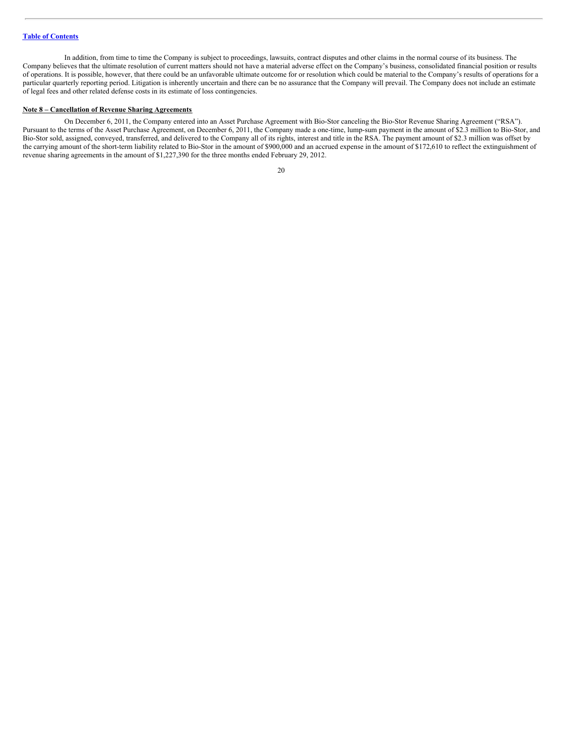In addition, from time to time the Company is subject to proceedings, lawsuits, contract disputes and other claims in the normal course of its business. The Company believes that the ultimate resolution of current matters should not have a material adverse effect on the Company's business, consolidated financial position or results of operations. It is possible, however, that there could be an unfavorable ultimate outcome for or resolution which could be material to the Company's results of operations for a particular quarterly reporting period. Litigation is inherently uncertain and there can be no assurance that the Company will prevail. The Company does not include an estimate of legal fees and other related defense costs in its estimate of loss contingencies.

### **Note 8 – Cancellation of Revenue Sharing Agreements**

On December 6, 2011, the Company entered into an Asset Purchase Agreement with Bio-Stor canceling the Bio-Stor Revenue Sharing Agreement ("RSA"). Pursuant to the terms of the Asset Purchase Agreement, on December 6, 2011, the Company made a one-time, lump-sum payment in the amount of \$2.3 million to Bio-Stor, and Bio-Stor sold, assigned, conveyed, transferred, and delivered to the Company all of its rights, interest and title in the RSA. The payment amount of \$2.3 million was offset by the carrying amount of the short-term liability related to Bio-Stor in the amount of \$900,000 and an accrued expense in the amount of \$172,610 to reflect the extinguishment of revenue sharing agreements in the amount of \$1,227,390 for the three months ended February 29, 2012.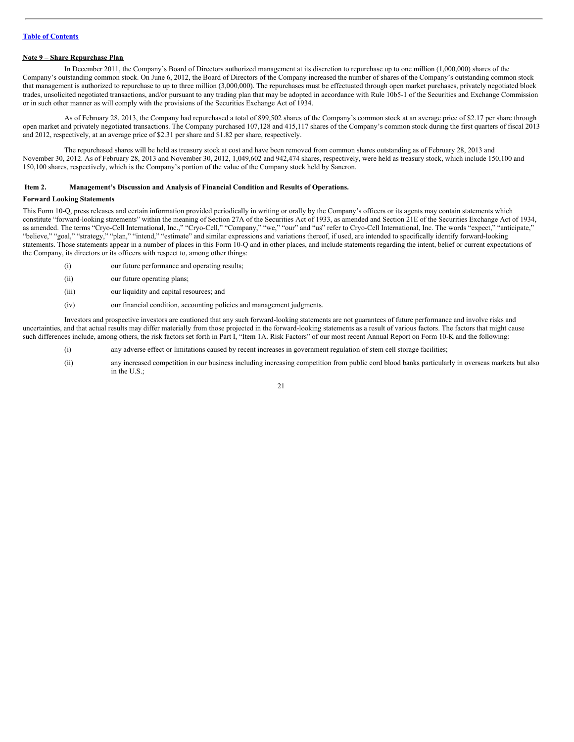### **Note 9 – Share Repurchase Plan**

In December 2011, the Company's Board of Directors authorized management at its discretion to repurchase up to one million (1,000,000) shares of the Company's outstanding common stock. On June 6, 2012, the Board of Directors of the Company increased the number of shares of the Company's outstanding common stock that management is authorized to repurchase to up to three million (3,000,000). The repurchases must be effectuated through open market purchases, privately negotiated block trades, unsolicited negotiated transactions, and/or pursuant to any trading plan that may be adopted in accordance with Rule 10b5-1 of the Securities and Exchange Commission or in such other manner as will comply with the provisions of the Securities Exchange Act of 1934.

As of February 28, 2013, the Company had repurchased a total of 899,502 shares of the Company's common stock at an average price of \$2.17 per share through open market and privately negotiated transactions. The Company purchased 107,128 and 415,117 shares of the Company's common stock during the first quarters of fiscal 2013 and 2012, respectively, at an average price of \$2.31 per share and \$1.82 per share, respectively.

The repurchased shares will be held as treasury stock at cost and have been removed from common shares outstanding as of February 28, 2013 and November 30, 2012. As of February 28, 2013 and November 30, 2012, 1,049,602 and 942,474 shares, respectively, were held as treasury stock, which include 150,100 and 150,100 shares, respectively, which is the Company's portion of the value of the Company stock held by Saneron.

#### <span id="page-20-0"></span>**Item 2. Management's Discussion and Analysis of Financial Condition and Results of Operations.**

### **Forward Looking Statements**

This Form 10-Q, press releases and certain information provided periodically in writing or orally by the Company's officers or its agents may contain statements which constitute "forward-looking statements" within the meaning of Section 27A of the Securities Act of 1933, as amended and Section 21E of the Securities Exchange Act of 1934, as amended. The terms "Cryo-Cell International, Inc.," "Cryo-Cell," "Company," "we," "our" and "us" refer to Cryo-Cell International, Inc. The words "expect," "anticipate," "believe," "goal," "strategy," "plan," "intend," "estimate" and similar expressions and variations thereof, if used, are intended to specifically identify forward-looking statements. Those statements appear in a number of places in this Form 10-Q and in other places, and include statements regarding the intent, belief or current expectations of the Company, its directors or its officers with respect to, among other things:

- (i) our future performance and operating results;
- (ii) our future operating plans;
- (iii) our liquidity and capital resources; and
- (iv) our financial condition, accounting policies and management judgments.

Investors and prospective investors are cautioned that any such forward-looking statements are not guarantees of future performance and involve risks and uncertainties, and that actual results may differ materially from those projected in the forward-looking statements as a result of various factors. The factors that might cause such differences include, among others, the risk factors set forth in Part I, "Item 1A. Risk Factors" of our most recent Annual Report on Form 10-K and the following:

- (i) any adverse effect or limitations caused by recent increases in government regulation of stem cell storage facilities;
- (ii) any increased competition in our business including increasing competition from public cord blood banks particularly in overseas markets but also in the U.S.;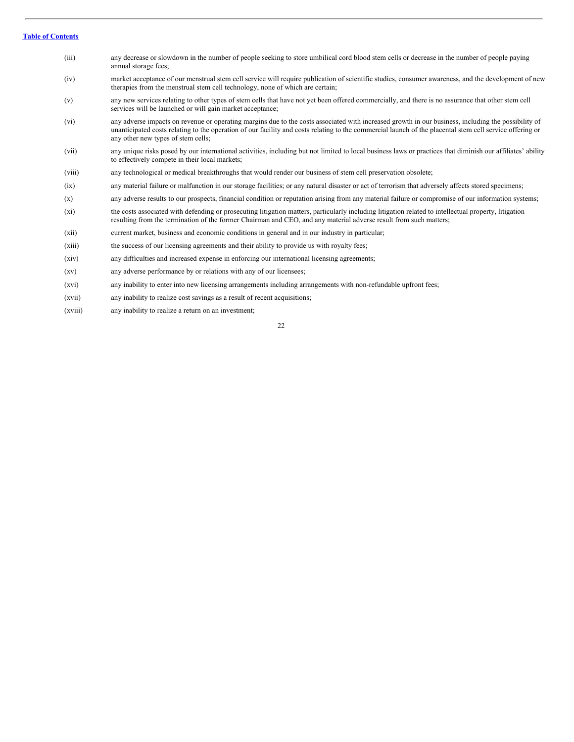### **Table of [Contents](#page-1-0)**

| (iii)  | any decrease or slowdown in the number of people seeking to store umbilical cord blood stem cells or decrease in the number of people paying<br>annual storage fees;                                                                                                                                                                                  |
|--------|-------------------------------------------------------------------------------------------------------------------------------------------------------------------------------------------------------------------------------------------------------------------------------------------------------------------------------------------------------|
| (iv)   | market acceptance of our menstrual stem cell service will require publication of scientific studies, consumer awareness, and the development of new<br>therapies from the menstrual stem cell technology, none of which are certain;                                                                                                                  |
| (v)    | any new services relating to other types of stem cells that have not yet been offered commercially, and there is no assurance that other stem cell<br>services will be launched or will gain market acceptance;                                                                                                                                       |
| (vi)   | any adverse impacts on revenue or operating margins due to the costs associated with increased growth in our business, including the possibility of<br>unanticipated costs relating to the operation of our facility and costs relating to the commercial launch of the placental stem cell service offering or<br>any other new types of stem cells; |
| (vii)  | any unique risks posed by our international activities, including but not limited to local business laws or practices that diminish our affiliates' ability<br>to effectively compete in their local markets;                                                                                                                                         |
| (viii) | any technological or medical breakthroughs that would render our business of stem cell preservation obsolete;                                                                                                                                                                                                                                         |
| (ix)   | any material failure or malfunction in our storage facilities; or any natural disaster or act of terrorism that adversely affects stored specimens;                                                                                                                                                                                                   |
| (x)    | any adverse results to our prospects, financial condition or reputation arising from any material failure or compromise of our information systems;                                                                                                                                                                                                   |
| (xi)   | the costs associated with defending or prosecuting litigation matters, particularly including litigation related to intellectual property, litigation<br>resulting from the termination of the former Chairman and CEO, and any material adverse result from such matters;                                                                            |
| (xii)  | current market, business and economic conditions in general and in our industry in particular;                                                                                                                                                                                                                                                        |
| (xiii) | the success of our licensing agreements and their ability to provide us with royalty fees;                                                                                                                                                                                                                                                            |
| (xiv)  | any difficulties and increased expense in enforcing our international licensing agreements;                                                                                                                                                                                                                                                           |
| (xv)   | any adverse performance by or relations with any of our licensees;                                                                                                                                                                                                                                                                                    |
| (xvi)  | any inability to enter into new licensing arrangements including arrangements with non-refundable upfront fees;                                                                                                                                                                                                                                       |
| (xvii) | any inability to realize cost savings as a result of recent acquisitions;                                                                                                                                                                                                                                                                             |

(xviii) any inability to realize a return on an investment;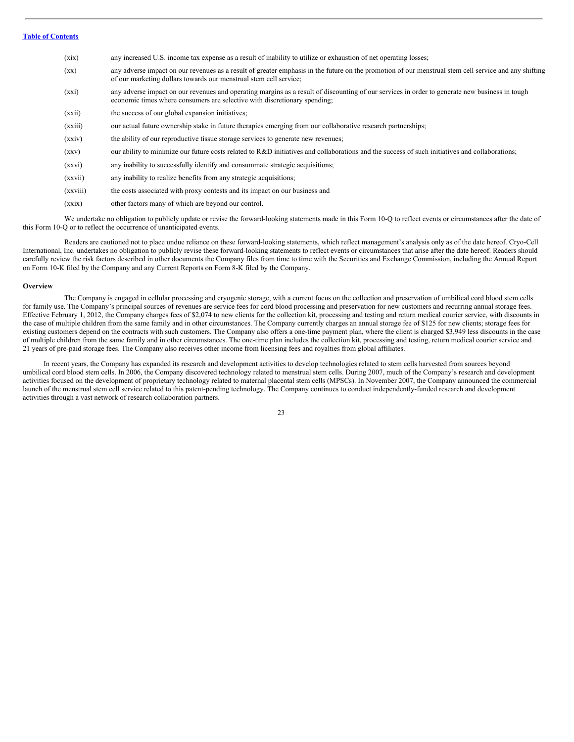| (xix)    | any increased U.S. income tax expense as a result of inability to utilize or exhaustion of net operating losses;                                                                                                            |
|----------|-----------------------------------------------------------------------------------------------------------------------------------------------------------------------------------------------------------------------------|
| (xx)     | any adverse impact on our revenues as a result of greater emphasis in the future on the promotion of our menstrual stem cell service and any shifting<br>of our marketing dollars towards our menstrual stem cell service;  |
| (xxi)    | any adverse impact on our revenues and operating margins as a result of discounting of our services in order to generate new business in tough<br>economic times where consumers are selective with discretionary spending; |
| (xxii)   | the success of our global expansion initiatives;                                                                                                                                                                            |
| (xxiii)  | our actual future ownership stake in future therapies emerging from our collaborative research partnerships;                                                                                                                |
| (xxiv)   | the ability of our reproductive tissue storage services to generate new revenues;                                                                                                                                           |
| (xxy)    | our ability to minimize our future costs related to R&D initiatives and collaborations and the success of such initiatives and collaborations;                                                                              |
| (xxvi)   | any inability to successfully identify and consummate strategic acquisitions;                                                                                                                                               |
| (xxvii)  | any inability to realize benefits from any strategic acquisitions;                                                                                                                                                          |
| (xxviii) | the costs associated with proxy contests and its impact on our business and                                                                                                                                                 |
| (xxix)   | other factors many of which are beyond our control.                                                                                                                                                                         |

We undertake no obligation to publicly update or revise the forward-looking statements made in this Form 10-Q to reflect events or circumstances after the date of this Form 10-Q or to reflect the occurrence of unanticipated events.

Readers are cautioned not to place undue reliance on these forward-looking statements, which reflect management's analysis only as of the date hereof. Cryo-Cell International, Inc. undertakes no obligation to publicly revise these forward-looking statements to reflect events or circumstances that arise after the date hereof. Readers should carefully review the risk factors described in other documents the Company files from time to time with the Securities and Exchange Commission, including the Annual Report on Form 10-K filed by the Company and any Current Reports on Form 8-K filed by the Company.

#### **Overview**

The Company is engaged in cellular processing and cryogenic storage, with a current focus on the collection and preservation of umbilical cord blood stem cells for family use. The Company's principal sources of revenues are service fees for cord blood processing and preservation for new customers and recurring annual storage fees. Effective February 1, 2012, the Company charges fees of \$2,074 to new clients for the collection kit, processing and testing and return medical courier service, with discounts in the case of multiple children from the same family and in other circumstances. The Company currently charges an annual storage fee of \$125 for new clients; storage fees for existing customers depend on the contracts with such customers. The Company also offers a one-time payment plan, where the client is charged \$3,949 less discounts in the case of multiple children from the same family and in other circumstances. The one-time plan includes the collection kit, processing and testing, return medical courier service and 21 years of pre-paid storage fees. The Company also receives other income from licensing fees and royalties from global affiliates.

In recent years, the Company has expanded its research and development activities to develop technologies related to stem cells harvested from sources beyond umbilical cord blood stem cells. In 2006, the Company discovered technology related to menstrual stem cells. During 2007, much of the Company's research and development activities focused on the development of proprietary technology related to maternal placental stem cells (MPSCs). In November 2007, the Company announced the commercial launch of the menstrual stem cell service related to this patent-pending technology. The Company continues to conduct independently-funded research and development activities through a vast network of research collaboration partners.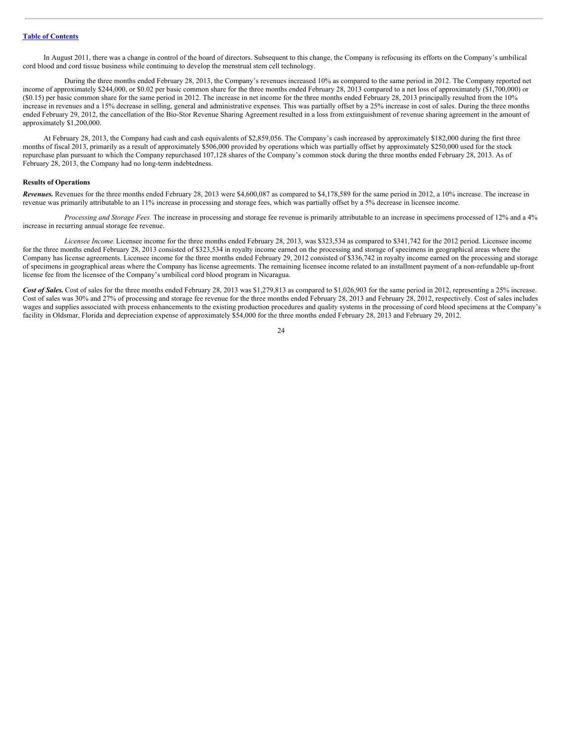In August 2011, there was a change in control of the board of directors. Subsequent to this change, the Company is refocusing its efforts on the Company's umbilical cord blood and cord tissue business while continuing to develop the menstrual stem cell technology.

During the three months ended February 28, 2013, the Company's revenues increased 10% as compared to the same period in 2012. The Company reported net income of approximately \$244,000, or \$0.02 per basic common share for the three months ended February 28, 2013 compared to a net loss of approximately (\$1,700,000) or (\$0.15) per basic common share for the same period in 2012. The increase in net income for the three months ended February 28, 2013 principally resulted from the 10% increase in revenues and a 15% decrease in selling, general and administrative expenses. This was partially offset by a 25% increase in cost of sales. During the three months ended February 29, 2012, the cancellation of the Bio-Stor Revenue Sharing Agreement resulted in a loss from extinguishment of revenue sharing agreement in the amount of approximately \$1,200,000.

At February 28, 2013, the Company had cash and cash equivalents of \$2,859,056. The Company's cash increased by approximately \$182,000 during the first three months of fiscal 2013, primarily as a result of approximately \$506,000 provided by operations which was partially offset by approximately \$250,000 used for the stock repurchase plan pursuant to which the Company repurchased 107,128 shares of the Company's common stock during the three months ended February 28, 2013. As of February 28, 2013, the Company had no long-term indebtedness.

#### **Results of Operations**

*Revenues.* Revenues for the three months ended February 28, 2013 were \$4,600,087 as compared to \$4,178,589 for the same period in 2012, a 10% increase. The increase in revenue was primarily attributable to an 11% increase in processing and storage fees, which was partially offset by a 5% decrease in licensee income.

*Processing and Storage Fees.* The increase in processing and storage fee revenue is primarily attributable to an increase in specimens processed of 12% and a 4% increase in recurring annual storage fee revenue.

*Licensee Income.*Licensee income for the three months ended February 28, 2013, was \$323,534 as compared to \$341,742 for the 2012 period. Licensee income for the three months ended February 28, 2013 consisted of \$323,534 in royalty income earned on the processing and storage of specimens in geographical areas where the Company has license agreements. Licensee income for the three months ended February 29, 2012 consisted of \$336,742 in royalty income earned on the processing and storage of specimens in geographical areas where the Company has license agreements. The remaining licensee income related to an installment payment of a non-refundable up-front license fee from the licensee of the Company's umbilical cord blood program in Nicaragua.

Cost of Sales. Cost of sales for the three months ended February 28, 2013 was \$1,279,813 as compared to \$1,026,903 for the same period in 2012, representing a 25% increase. Cost of sales was 30% and 27% of processing and storage fee revenue for the three months ended February 28, 2013 and February 28, 2012, respectively. Cost of sales includes wages and supplies associated with process enhancements to the existing production procedures and quality systems in the processing of cord blood specimens at the Company's facility in Oldsmar, Florida and depreciation expense of approximately \$54,000 for the three months ended February 28, 2013 and February 29, 2012.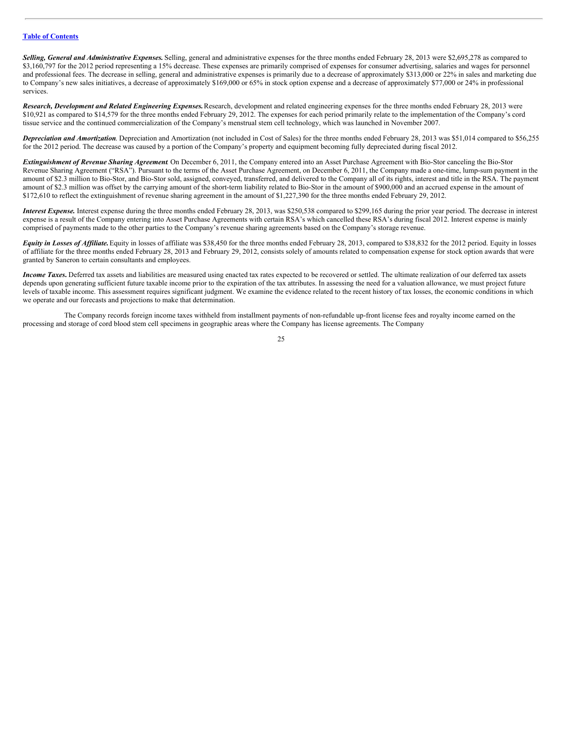### **Table of [Contents](#page-1-0)**

*Selling, General and Administrative Expenses.* Selling, general and administrative expenses for the three months ended February 28, 2013 were \$2,695,278 as compared to \$3,160,797 for the 2012 period representing a 15% decrease. These expenses are primarily comprised of expenses for consumer advertising, salaries and wages for personnel and professional fees. The decrease in selling, general and administrative expenses is primarily due to a decrease of approximately \$313,000 or 22% in sales and marketing due to Company's new sales initiatives, a decrease of approximately \$169,000 or 65% in stock option expense and a decrease of approximately \$77,000 or 24% in professional services.

*Research, Development and Related Engineering Expenses.*Research, development and related engineering expenses for the three months ended February 28, 2013 were \$10,921 as compared to \$14,579 for the three months ended February 29, 2012. The expenses for each period primarily relate to the implementation of the Company's cord tissue service and the continued commercialization of the Company's menstrual stem cell technology, which was launched in November 2007.

*Depreciation and Amortization*. Depreciation and Amortization (not included in Cost of Sales) for the three months ended February 28, 2013 was \$51,014 compared to \$56,255 for the 2012 period. The decrease was caused by a portion of the Company's property and equipment becoming fully depreciated during fiscal 2012.

*Extinguishment of Revenue Sharing Agreement*. On December 6, 2011, the Company entered into an Asset Purchase Agreement with Bio-Stor canceling the Bio-Stor Revenue Sharing Agreement ("RSA"). Pursuant to the terms of the Asset Purchase Agreement, on December 6, 2011, the Company made a one-time, lump-sum payment in the amount of \$2.3 million to Bio-Stor, and Bio-Stor sold, assigned, conveyed, transferred, and delivered to the Company all of its rights, interest and title in the RSA. The payment amount of \$2.3 million was offset by the carrying amount of the short-term liability related to Bio-Stor in the amount of \$900,000 and an accrued expense in the amount of \$172,610 to reflect the extinguishment of revenue sharing agreement in the amount of \$1,227,390 for the three months ended February 29, 2012.

*Interest Expense.* Interest expense during the three months ended February 28, 2013, was \$250,538 compared to \$299,165 during the prior year period. The decrease in interest expense is a result of the Company entering into Asset Purchase Agreements with certain RSA's which cancelled these RSA's during fiscal 2012. Interest expense is mainly comprised of payments made to the other parties to the Company's revenue sharing agreements based on the Company's storage revenue.

*Equity in Losses of Af iliate.*Equity in losses of affiliate was \$38,450 for the three months ended February 28, 2013, compared to \$38,832 for the 2012 period. Equity in losses of affiliate for the three months ended February 28, 2013 and February 29, 2012, consists solely of amounts related to compensation expense for stock option awards that were granted by Saneron to certain consultants and employees.

*Income Taxes*. Deferred tax assets and liabilities are measured using enacted tax rates expected to be recovered or settled. The ultimate realization of our deferred tax assets depends upon generating sufficient future taxable income prior to the expiration of the tax attributes. In assessing the need for a valuation allowance, we must project future levels of taxable income. This assessment requires significant judgment. We examine the evidence related to the recent history of tax losses, the economic conditions in which we operate and our forecasts and projections to make that determination.

The Company records foreign income taxes withheld from installment payments of non-refundable up-front license fees and royalty income earned on the processing and storage of cord blood stem cell specimens in geographic areas where the Company has license agreements. The Company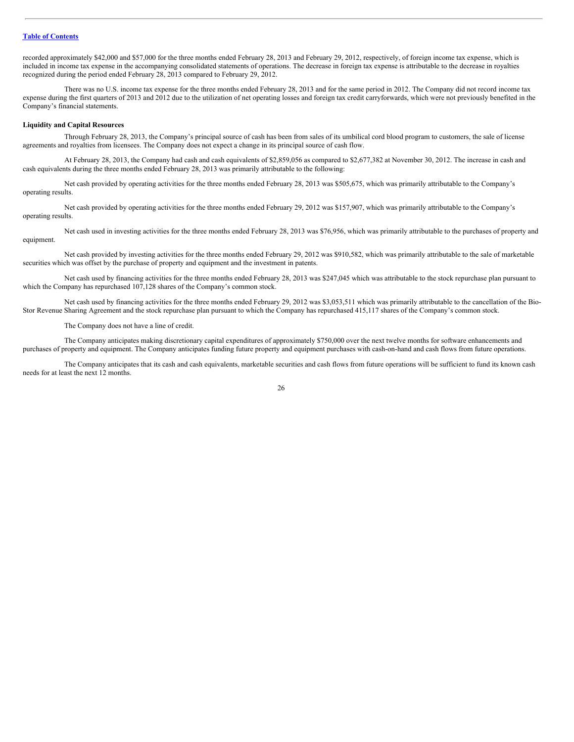recorded approximately \$42,000 and \$57,000 for the three months ended February 28, 2013 and February 29, 2012, respectively, of foreign income tax expense, which is included in income tax expense in the accompanying consolidated statements of operations. The decrease in foreign tax expense is attributable to the decrease in royalties recognized during the period ended February 28, 2013 compared to February 29, 2012.

There was no U.S. income tax expense for the three months ended February 28, 2013 and for the same period in 2012. The Company did not record income tax expense during the first quarters of 2013 and 2012 due to the utilization of net operating losses and foreign tax credit carryforwards, which were not previously benefited in the Company's financial statements.

### **Liquidity and Capital Resources**

Through February 28, 2013, the Company's principal source of cash has been from sales of its umbilical cord blood program to customers, the sale of license agreements and royalties from licensees. The Company does not expect a change in its principal source of cash flow.

At February 28, 2013, the Company had cash and cash equivalents of \$2,859,056 as compared to \$2,677,382 at November 30, 2012. The increase in cash and cash equivalents during the three months ended February 28, 2013 was primarily attributable to the following:

Net cash provided by operating activities for the three months ended February 28, 2013 was \$505,675, which was primarily attributable to the Company's operating results.

Net cash provided by operating activities for the three months ended February 29, 2012 was \$157,907, which was primarily attributable to the Company's operating results.

Net cash used in investing activities for the three months ended February 28, 2013 was \$76,956, which was primarily attributable to the purchases of property and equipment.

Net cash provided by investing activities for the three months ended February 29, 2012 was \$910,582, which was primarily attributable to the sale of marketable securities which was offset by the purchase of property and equipment and the investment in patents.

Net cash used by financing activities for the three months ended February 28, 2013 was \$247,045 which was attributable to the stock repurchase plan pursuant to which the Company has repurchased 107,128 shares of the Company's common stock.

Net cash used by financing activities for the three months ended February 29, 2012 was \$3,053,511 which was primarily attributable to the cancellation of the Bio-Stor Revenue Sharing Agreement and the stock repurchase plan pursuant to which the Company has repurchased 415,117 shares of the Company's common stock.

The Company does not have a line of credit.

The Company anticipates making discretionary capital expenditures of approximately \$750,000 over the next twelve months for software enhancements and purchases of property and equipment. The Company anticipates funding future property and equipment purchases with cash-on-hand and cash flows from future operations.

The Company anticipates that its cash and cash equivalents, marketable securities and cash flows from future operations will be sufficient to fund its known cash needs for at least the next 12 months.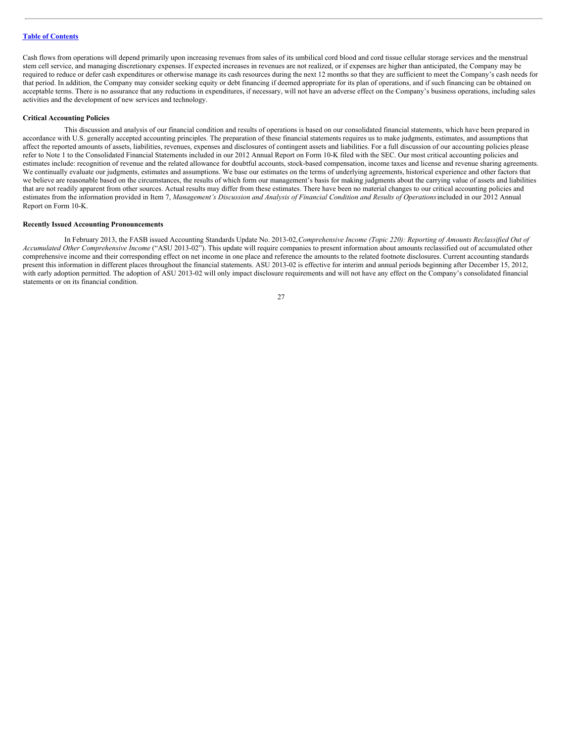### **Table of [Contents](#page-1-0)**

Cash flows from operations will depend primarily upon increasing revenues from sales of its umbilical cord blood and cord tissue cellular storage services and the menstrual stem cell service, and managing discretionary expenses. If expected increases in revenues are not realized, or if expenses are higher than anticipated, the Company may be required to reduce or defer cash expenditures or otherwise manage its cash resources during the next 12 months so that they are sufficient to meet the Company's cash needs for that period. In addition, the Company may consider seeking equity or debt financing if deemed appropriate for its plan of operations, and if such financing can be obtained on acceptable terms. There is no assurance that any reductions in expenditures, if necessary, will not have an adverse effect on the Company's business operations, including sales activities and the development of new services and technology.

### **Critical Accounting Policies**

This discussion and analysis of our financial condition and results of operations is based on our consolidated financial statements, which have been prepared in accordance with U.S. generally accepted accounting principles. The preparation of these financial statements requires us to make judgments, estimates, and assumptions that affect the reported amounts of assets, liabilities, revenues, expenses and disclosures of contingent assets and liabilities. For a full discussion of our accounting policies please refer to Note 1 to the Consolidated Financial Statements included in our 2012 Annual Report on Form 10-K filed with the SEC. Our most critical accounting policies and estimates include: recognition of revenue and the related allowance for doubtful accounts, stock-based compensation, income taxes and license and revenue sharing agreements. We continually evaluate our judgments, estimates and assumptions. We base our estimates on the terms of underlying agreements, historical experience and other factors that we believe are reasonable based on the circumstances, the results of which form our management's basis for making judgments about the carrying value of assets and liabilities that are not readily apparent from other sources. Actual results may differ from these estimates. There have been no material changes to our critical accounting policies and estimates from the information provided in Item 7, Management's Discussion and Analysis of Financial Condition and Results of Operations included in our 2012 Annual Report on Form 10-K.

#### **Recently Issued Accounting Pronouncements**

In February 2013, the FASB issued Accounting Standards Update No. 2013-02,*Comprehensive Income (Topic 220): Reporting of Amounts Reclassified Out of Accumulated Other Comprehensive Income* ("ASU 2013-02"). This update will require companies to present information about amounts reclassified out of accumulated other comprehensive income and their corresponding effect on net income in one place and reference the amounts to the related footnote disclosures. Current accounting standards present this information in different places throughout the financial statements. ASU 2013-02 is effective for interim and annual periods beginning after December 15, 2012, with early adoption permitted. The adoption of ASU 2013-02 will only impact disclosure requirements and will not have any effect on the Company's consolidated financial statements or on its financial condition.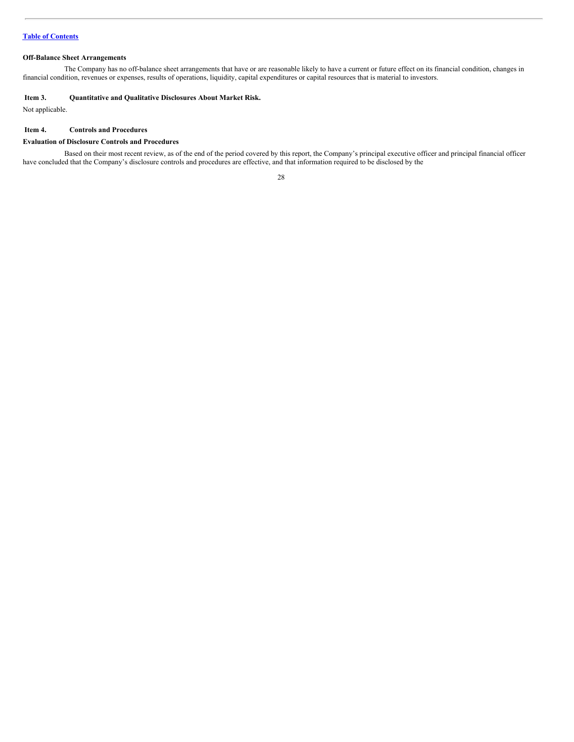### **Off-Balance Sheet Arrangements**

The Company has no off-balance sheet arrangements that have or are reasonable likely to have a current or future effect on its financial condition, changes in financial condition, revenues or expenses, results of operations, liquidity, capital expenditures or capital resources that is material to investors.

### <span id="page-27-0"></span>**Item 3. Quantitative and Qualitative Disclosures About Market Risk.**

Not applicable.

### <span id="page-27-1"></span>**Item 4. Controls and Procedures**

### **Evaluation of Disclosure Controls and Procedures**

Based on their most recent review, as of the end of the period covered by this report, the Company's principal executive officer and principal financial officer have concluded that the Company's disclosure controls and procedures are effective, and that information required to be disclosed by the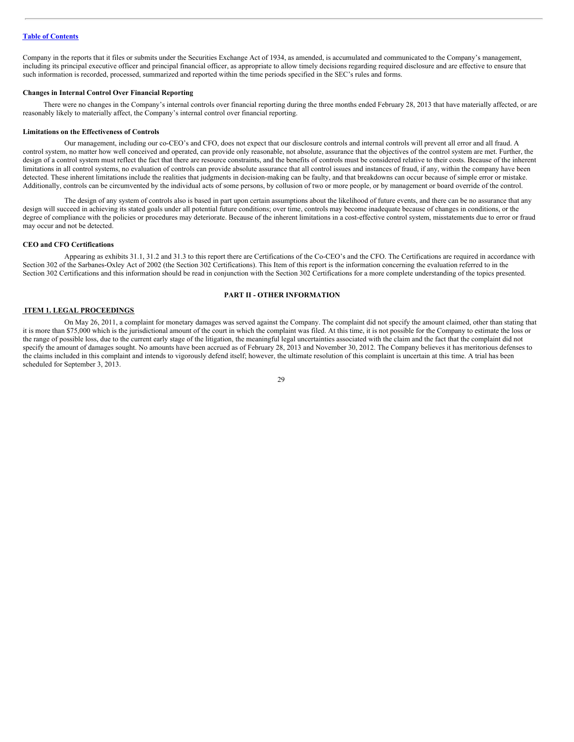Company in the reports that it files or submits under the Securities Exchange Act of 1934, as amended, is accumulated and communicated to the Company's management, including its principal executive officer and principal financial officer, as appropriate to allow timely decisions regarding required disclosure and are effective to ensure that such information is recorded, processed, summarized and reported within the time periods specified in the SEC's rules and forms.

#### **Changes in Internal Control Over Financial Reporting**

There were no changes in the Company's internal controls over financial reporting during the three months ended February 28, 2013 that have materially affected, or are reasonably likely to materially affect, the Company's internal control over financial reporting.

#### **Limitations on the Effectiveness of Controls**

Our management, including our co-CEO's and CFO, does not expect that our disclosure controls and internal controls will prevent all error and all fraud. A control system, no matter how well conceived and operated, can provide only reasonable, not absolute, assurance that the objectives of the control system are met. Further, the design of a control system must reflect the fact that there are resource constraints, and the benefits of controls must be considered relative to their costs. Because of the inherent limitations in all control systems, no evaluation of controls can provide absolute assurance that all control issues and instances of fraud, if any, within the company have been detected. These inherent limitations include the realities that judgments in decision-making can be faulty, and that breakdowns can occur because of simple error or mistake. Additionally, controls can be circumvented by the individual acts of some persons, by collusion of two or more people, or by management or board override of the control.

The design of any system of controls also is based in part upon certain assumptions about the likelihood of future events, and there can be no assurance that any design will succeed in achieving its stated goals under all potential future conditions; over time, controls may become inadequate because of changes in conditions, or the degree of compliance with the policies or procedures may deteriorate. Because of the inherent limitations in a cost-effective control system, misstatements due to error or fraud may occur and not be detected.

### **CEO and CFO Certifications**

Appearing as exhibits 31.1, 31.2 and 31.3 to this report there are Certifications of the Co-CEO's and the CFO. The Certifications are required in accordance with Section 302 of the Sarbanes-Oxley Act of 2002 (the Section 302 Certifications). This Item of this report is the information concerning the evaluation referred to in the Section 302 Certifications and this information should be read in conjunction with the Section 302 Certifications for a more complete understanding of the topics presented.

### <span id="page-28-0"></span>**PART II - OTHER INFORMATION**

### <span id="page-28-1"></span>**ITEM 1. LEGAL PROCEEDINGS**

On May 26, 2011, a complaint for monetary damages was served against the Company. The complaint did not specify the amount claimed, other than stating that it is more than \$75,000 which is the jurisdictional amount of the court in which the complaint was filed. At this time, it is not possible for the Company to estimate the loss or the range of possible loss, due to the current early stage of the litigation, the meaningful legal uncertainties associated with the claim and the fact that the complaint did not specify the amount of damages sought. No amounts have been accrued as of February 28, 2013 and November 30, 2012. The Company believes it has meritorious defenses to the claims included in this complaint and intends to vigorously defend itself; however, the ultimate resolution of this complaint is uncertain at this time. A trial has been scheduled for September 3, 2013.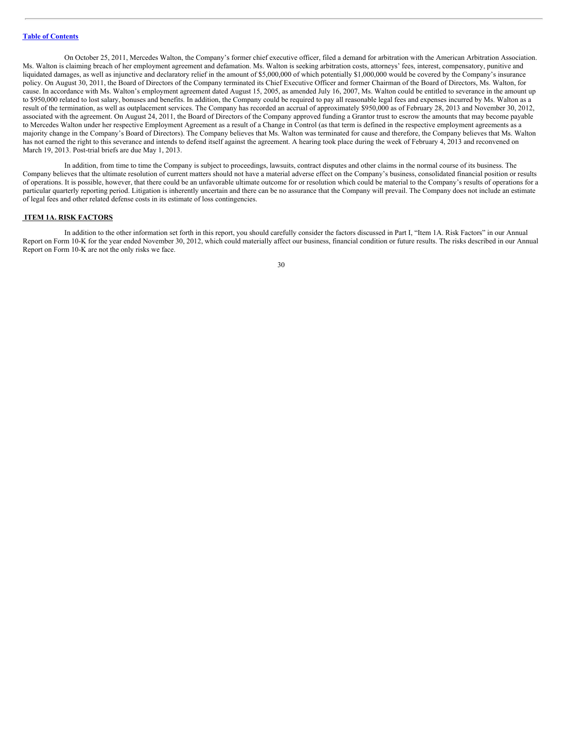On October 25, 2011, Mercedes Walton, the Company's former chief executive officer, filed a demand for arbitration with the American Arbitration Association. Ms. Walton is claiming breach of her employment agreement and defamation. Ms. Walton is seeking arbitration costs, attorneys' fees, interest, compensatory, punitive and liquidated damages, as well as injunctive and declaratory relief in the amount of \$5,000,000 of which potentially \$1,000,000 would be covered by the Company's insurance policy. On August 30, 2011, the Board of Directors of the Company terminated its Chief Executive Officer and former Chairman of the Board of Directors, Ms. Walton, for cause. In accordance with Ms. Walton's employment agreement dated August 15, 2005, as amended July 16, 2007, Ms. Walton could be entitled to severance in the amount up to \$950,000 related to lost salary, bonuses and benefits. In addition, the Company could be required to pay all reasonable legal fees and expenses incurred by Ms. Walton as a result of the termination, as well as outplacement services. The Company has recorded an accrual of approximately \$950,000 as of February 28, 2013 and November 30, 2012, associated with the agreement. On August 24, 2011, the Board of Directors of the Company approved funding a Grantor trust to escrow the amounts that may become payable to Mercedes Walton under her respective Employment Agreement as a result of a Change in Control (as that term is defined in the respective employment agreements as a majority change in the Company's Board of Directors). The Company believes that Ms. Walton was terminated for cause and therefore, the Company believes that Ms. Walton has not earned the right to this severance and intends to defend itself against the agreement. A hearing took place during the week of February 4, 2013 and reconvened on March 19, 2013. Post-trial briefs are due May 1, 2013.

In addition, from time to time the Company is subject to proceedings, lawsuits, contract disputes and other claims in the normal course of its business. The Company believes that the ultimate resolution of current matters should not have a material adverse effect on the Company's business, consolidated financial position or results of operations. It is possible, however, that there could be an unfavorable ultimate outcome for or resolution which could be material to the Company's results of operations for a particular quarterly reporting period. Litigation is inherently uncertain and there can be no assurance that the Company will prevail. The Company does not include an estimate of legal fees and other related defense costs in its estimate of loss contingencies.

### <span id="page-29-0"></span>**ITEM 1A. RISK FACTORS**

In addition to the other information set forth in this report, you should carefully consider the factors discussed in Part I, "Item 1A. Risk Factors" in our Annual Report on Form 10-K for the year ended November 30, 2012, which could materially affect our business, financial condition or future results. The risks described in our Annual Report on Form 10-K are not the only risks we face.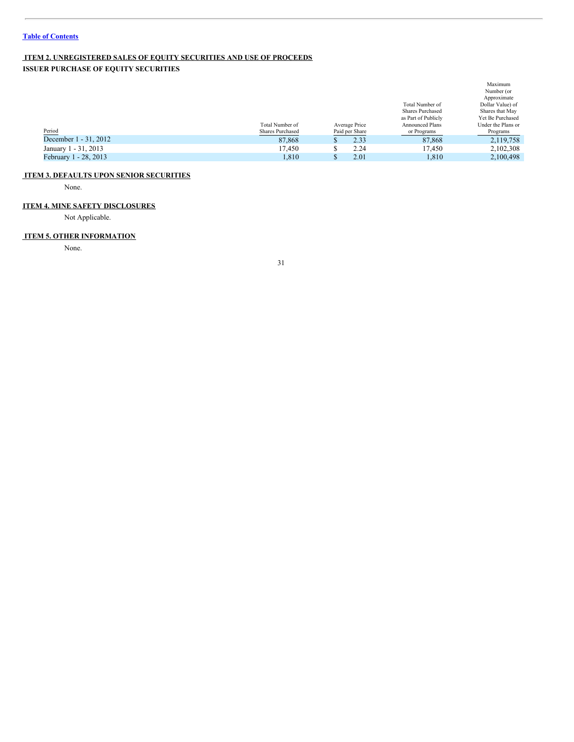# <span id="page-30-0"></span>**ITEM 2. UNREGISTERED SALES OF EQUITY SECURITIES AND USE OF PROCEEDS**

# **ISSUER PURCHASE OF EQUITY SECURITIES**

|                       |                  |                |                         | Maximum            |
|-----------------------|------------------|----------------|-------------------------|--------------------|
|                       |                  |                |                         | Number (or         |
|                       |                  |                |                         | Approximate        |
|                       |                  |                | Total Number of         | Dollar Value) of   |
|                       |                  |                | <b>Shares Purchased</b> | Shares that May    |
|                       |                  |                | as Part of Publicly     | Yet Be Purchased   |
|                       | Total Number of  | Average Price  | <b>Announced Plans</b>  | Under the Plans or |
| Period                | Shares Purchased | Paid per Share | or Programs             | Programs           |
| December 1 - 31, 2012 | 87,868           | 2.33<br>Ф      | 87,868                  | 2,119,758          |
| January 1 - 31, 2013  | 17.450           | 2.24           | 17.450                  | 2,102,308          |
| February 1 - 28, 2013 | 1,810            | 2.01           | 1,810                   | 2,100,498          |

# <span id="page-30-1"></span>**ITEM 3. DEFAULTS UPON SENIOR SECURITIES**

None.

# **ITEM 4. MINE SAFETY DISCLOSURES**

Not Applicable.

### <span id="page-30-2"></span>**ITEM 5. OTHER INFORMATION**

None.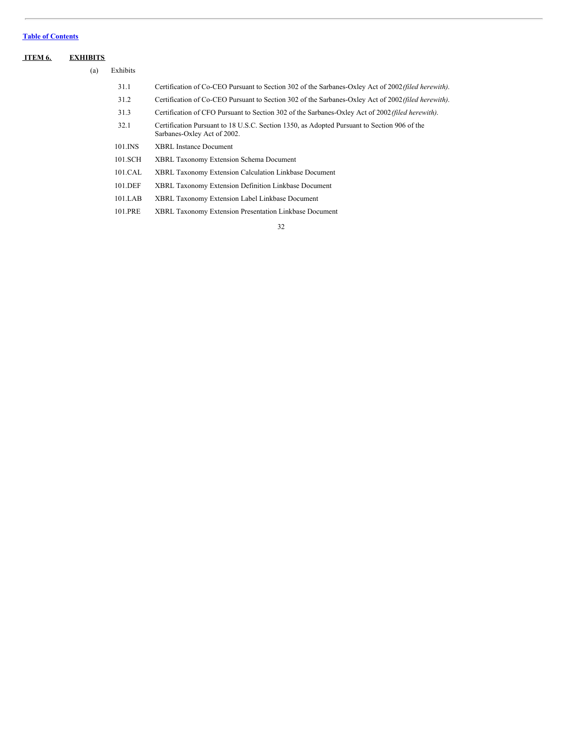### **Table of [Contents](#page-1-0)**

<span id="page-31-0"></span>

| ITEM 6. | <b>EXHIBITS</b> |          |                                                                                                                            |
|---------|-----------------|----------|----------------------------------------------------------------------------------------------------------------------------|
|         | (a)             | Exhibits |                                                                                                                            |
|         |                 | 31.1     | Certification of Co-CEO Pursuant to Section 302 of the Sarbanes-Oxley Act of 2002 (filed herewith).                        |
|         |                 | 31.2     | Certification of Co-CEO Pursuant to Section 302 of the Sarbanes-Oxley Act of 2002 (filed herewith).                        |
|         |                 | 31.3     | Certification of CFO Pursuant to Section 302 of the Sarbanes-Oxley Act of 2002 (filed herewith).                           |
|         |                 | 32.1     | Certification Pursuant to 18 U.S.C. Section 1350, as Adopted Pursuant to Section 906 of the<br>Sarbanes-Oxley Act of 2002. |
|         |                 | 101.INS  | <b>XBRL</b> Instance Document                                                                                              |
|         |                 | 101.SCH  | <b>XBRL Taxonomy Extension Schema Document</b>                                                                             |
|         |                 | 101.CAL  | <b>XBRL Taxonomy Extension Calculation Linkbase Document</b>                                                               |
|         |                 | 101.DEF  | XBRL Taxonomy Extension Definition Linkbase Document                                                                       |
|         |                 | 101.LAB  | XBRL Taxonomy Extension Label Linkbase Document                                                                            |
|         |                 | 101.PRE  | <b>XBRL Taxonomy Extension Presentation Linkbase Document</b>                                                              |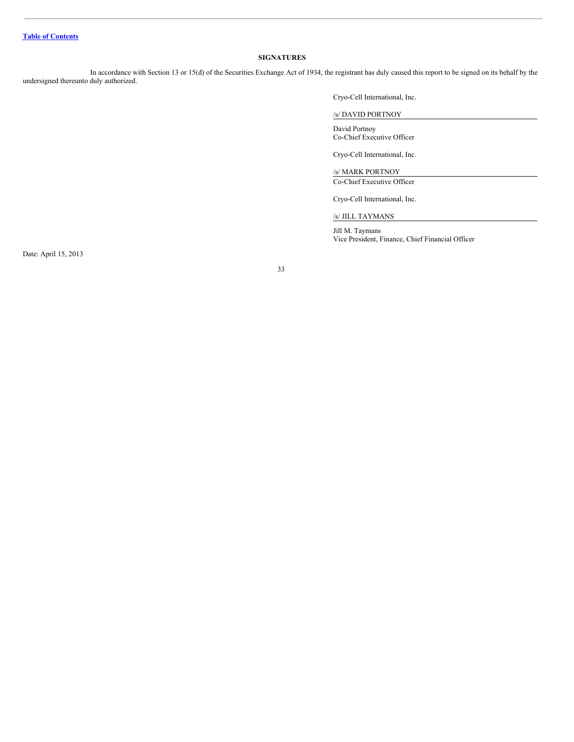### <span id="page-32-0"></span>**SIGNATURES**

In accordance with Section 13 or 15(d) of the Securities Exchange Act of 1934, the registrant has duly caused this report to be signed on its behalf by the undersigned thereunto duly authorized.

Cryo-Cell International, Inc.

/s/ DAVID PORTNOY

David Portnoy Co-Chief Executive Officer

Cryo-Cell International, Inc.

/s/ MARK PORTNOY Co-Chief Executive Officer

Cryo-Cell International, Inc.

/s/ JILL TAYMANS

Jill M. Taymans Vice President, Finance, Chief Financial Officer

Date: April 15, 2013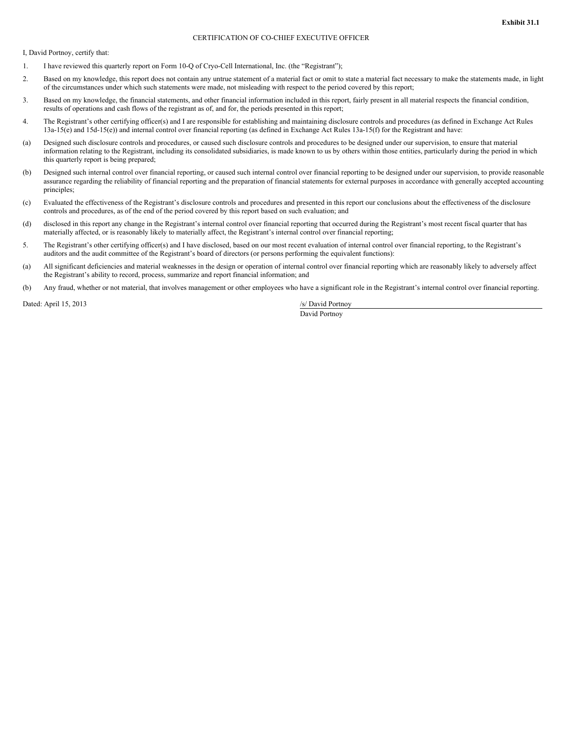### CERTIFICATION OF CO-CHIEF EXECUTIVE OFFICER

I, David Portnoy, certify that:

- 1. I have reviewed this quarterly report on Form 10-Q of Cryo-Cell International, Inc. (the "Registrant");
- 2. Based on my knowledge, this report does not contain any untrue statement of a material fact or omit to state a material fact necessary to make the statements made, in light of the circumstances under which such statements were made, not misleading with respect to the period covered by this report;
- 3. Based on my knowledge, the financial statements, and other financial information included in this report, fairly present in all material respects the financial condition, results of operations and cash flows of the registrant as of, and for, the periods presented in this report;
- 4. The Registrant's other certifying officer(s) and I are responsible for establishing and maintaining disclosure controls and procedures (as defined in Exchange Act Rules 13a-15(e) and 15d-15(e)) and internal control over financial reporting (as defined in Exchange Act Rules 13a-15(f) for the Registrant and have:
- (a) Designed such disclosure controls and procedures, or caused such disclosure controls and procedures to be designed under our supervision, to ensure that material information relating to the Registrant, including its consolidated subsidiaries, is made known to us by others within those entities, particularly during the period in which this quarterly report is being prepared;
- (b) Designed such internal control over financial reporting, or caused such internal control over financial reporting to be designed under our supervision, to provide reasonable assurance regarding the reliability of financial reporting and the preparation of financial statements for external purposes in accordance with generally accepted accounting principles;
- (c) Evaluated the effectiveness of the Registrant's disclosure controls and procedures and presented in this report our conclusions about the effectiveness of the disclosure controls and procedures, as of the end of the period covered by this report based on such evaluation; and
- (d) disclosed in this report any change in the Registrant's internal control over financial reporting that occurred during the Registrant's most recent fiscal quarter that has materially affected, or is reasonably likely to materially affect, the Registrant's internal control over financial reporting;
- 5. The Registrant's other certifying officer(s) and I have disclosed, based on our most recent evaluation of internal control over financial reporting, to the Registrant's auditors and the audit committee of the Registrant's board of directors (or persons performing the equivalent functions):
- (a) All significant deficiencies and material weaknesses in the design or operation of internal control over financial reporting which are reasonably likely to adversely affect the Registrant's ability to record, process, summarize and report financial information; and
- (b) Any fraud, whether or not material, that involves management or other employees who have a significant role in the Registrant's internal control over financial reporting.

Dated: April 15, 2013 /s/ David Portnoy

David Portnoy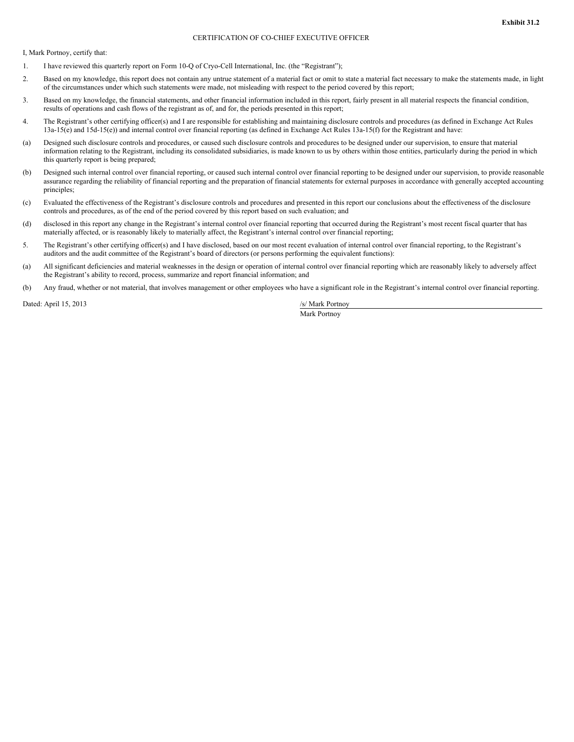### CERTIFICATION OF CO-CHIEF EXECUTIVE OFFICER

I, Mark Portnoy, certify that:

- 1. I have reviewed this quarterly report on Form 10-Q of Cryo-Cell International, Inc. (the "Registrant");
- 2. Based on my knowledge, this report does not contain any untrue statement of a material fact or omit to state a material fact necessary to make the statements made, in light of the circumstances under which such statements were made, not misleading with respect to the period covered by this report;
- 3. Based on my knowledge, the financial statements, and other financial information included in this report, fairly present in all material respects the financial condition, results of operations and cash flows of the registrant as of, and for, the periods presented in this report;
- 4. The Registrant's other certifying officer(s) and I are responsible for establishing and maintaining disclosure controls and procedures (as defined in Exchange Act Rules 13a-15(e) and 15d-15(e)) and internal control over financial reporting (as defined in Exchange Act Rules 13a-15(f) for the Registrant and have:
- (a) Designed such disclosure controls and procedures, or caused such disclosure controls and procedures to be designed under our supervision, to ensure that material information relating to the Registrant, including its consolidated subsidiaries, is made known to us by others within those entities, particularly during the period in which this quarterly report is being prepared;
- (b) Designed such internal control over financial reporting, or caused such internal control over financial reporting to be designed under our supervision, to provide reasonable assurance regarding the reliability of financial reporting and the preparation of financial statements for external purposes in accordance with generally accepted accounting principles;
- (c) Evaluated the effectiveness of the Registrant's disclosure controls and procedures and presented in this report our conclusions about the effectiveness of the disclosure controls and procedures, as of the end of the period covered by this report based on such evaluation; and
- (d) disclosed in this report any change in the Registrant's internal control over financial reporting that occurred during the Registrant's most recent fiscal quarter that has materially affected, or is reasonably likely to materially affect, the Registrant's internal control over financial reporting;
- 5. The Registrant's other certifying officer(s) and I have disclosed, based on our most recent evaluation of internal control over financial reporting, to the Registrant's auditors and the audit committee of the Registrant's board of directors (or persons performing the equivalent functions):
- (a) All significant deficiencies and material weaknesses in the design or operation of internal control over financial reporting which are reasonably likely to adversely affect the Registrant's ability to record, process, summarize and report financial information; and
- (b) Any fraud, whether or not material, that involves management or other employees who have a significant role in the Registrant's internal control over financial reporting.

Dated: April 15, 2013 /s/ Mark Portnoy

Mark Portnoy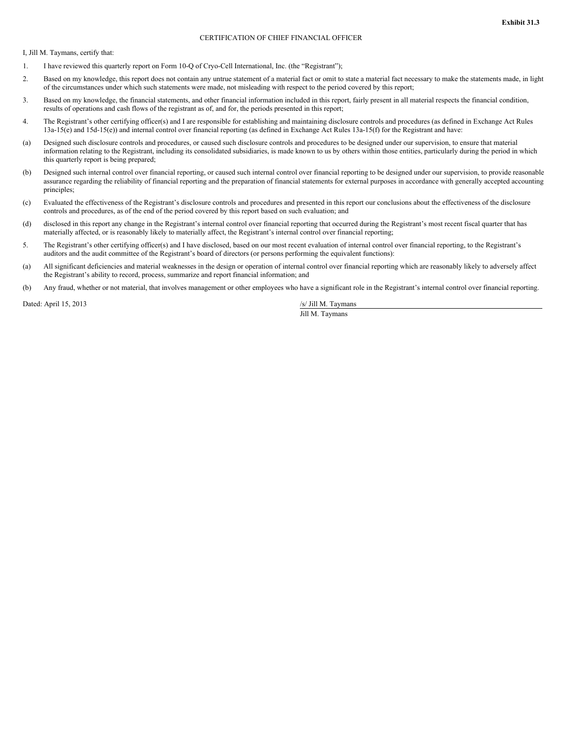### CERTIFICATION OF CHIEF FINANCIAL OFFICER

I, Jill M. Taymans, certify that:

- 1. I have reviewed this quarterly report on Form 10-Q of Cryo-Cell International, Inc. (the "Registrant");
- 2. Based on my knowledge, this report does not contain any untrue statement of a material fact or omit to state a material fact necessary to make the statements made, in light of the circumstances under which such statements were made, not misleading with respect to the period covered by this report;
- 3. Based on my knowledge, the financial statements, and other financial information included in this report, fairly present in all material respects the financial condition, results of operations and cash flows of the registrant as of, and for, the periods presented in this report;
- 4. The Registrant's other certifying officer(s) and I are responsible for establishing and maintaining disclosure controls and procedures (as defined in Exchange Act Rules 13a-15(e) and 15d-15(e)) and internal control over financial reporting (as defined in Exchange Act Rules 13a-15(f) for the Registrant and have:
- (a) Designed such disclosure controls and procedures, or caused such disclosure controls and procedures to be designed under our supervision, to ensure that material information relating to the Registrant, including its consolidated subsidiaries, is made known to us by others within those entities, particularly during the period in which this quarterly report is being prepared;
- (b) Designed such internal control over financial reporting, or caused such internal control over financial reporting to be designed under our supervision, to provide reasonable assurance regarding the reliability of financial reporting and the preparation of financial statements for external purposes in accordance with generally accepted accounting principles;
- (c) Evaluated the effectiveness of the Registrant's disclosure controls and procedures and presented in this report our conclusions about the effectiveness of the disclosure controls and procedures, as of the end of the period covered by this report based on such evaluation; and
- (d) disclosed in this report any change in the Registrant's internal control over financial reporting that occurred during the Registrant's most recent fiscal quarter that has materially affected, or is reasonably likely to materially affect, the Registrant's internal control over financial reporting;
- 5. The Registrant's other certifying officer(s) and I have disclosed, based on our most recent evaluation of internal control over financial reporting, to the Registrant's auditors and the audit committee of the Registrant's board of directors (or persons performing the equivalent functions):
- (a) All significant deficiencies and material weaknesses in the design or operation of internal control over financial reporting which are reasonably likely to adversely affect the Registrant's ability to record, process, summarize and report financial information; and
- (b) Any fraud, whether or not material, that involves management or other employees who have a significant role in the Registrant's internal control over financial reporting.

Dated: April 15, 2013 /s/ Jill M. Taymans

Jill M. Taymans